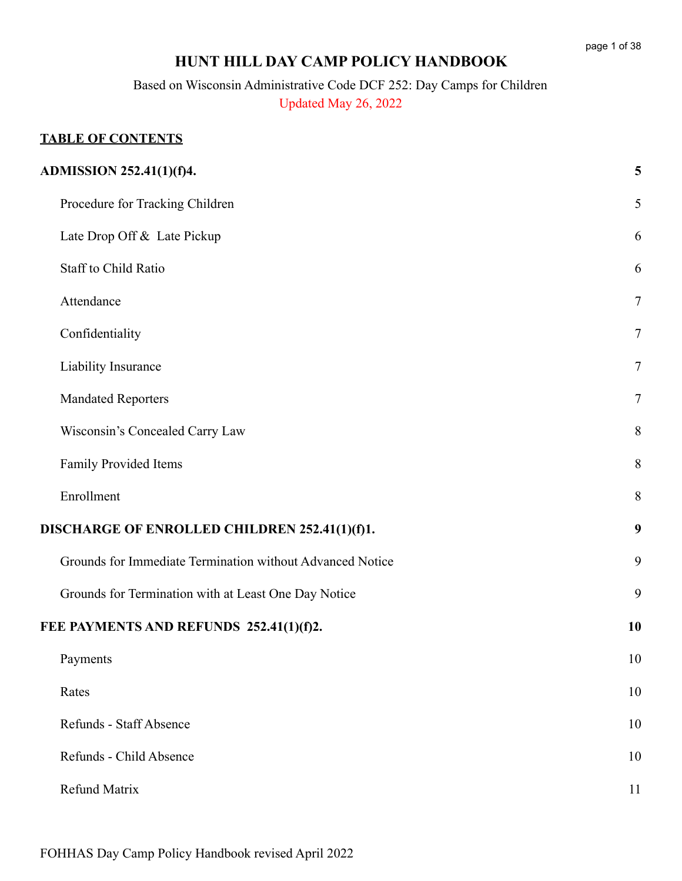# **HUNT HILL DAY CAMP POLICY HANDBOOK**

Based on Wisconsin Administrative Code DCF 252: Day Camps for Children Updated May 26, 2022

### **TABLE OF CONTENTS**

| ADMISSION 252.41(1)(f)4.                                  | 5      |
|-----------------------------------------------------------|--------|
| Procedure for Tracking Children                           | 5      |
| Late Drop Off & Late Pickup                               | 6      |
| Staff to Child Ratio                                      | 6      |
| Attendance                                                | $\tau$ |
| Confidentiality                                           | $\tau$ |
| Liability Insurance                                       | $\tau$ |
| <b>Mandated Reporters</b>                                 | $\tau$ |
| Wisconsin's Concealed Carry Law                           | 8      |
| Family Provided Items                                     | 8      |
| Enrollment                                                | $8\,$  |
| DISCHARGE OF ENROLLED CHILDREN 252.41(1)(f)1.             | 9      |
| Grounds for Immediate Termination without Advanced Notice | 9      |
| Grounds for Termination with at Least One Day Notice      | 9      |
| FEE PAYMENTS AND REFUNDS 252.41(1)(f)2.                   | 10     |
| Payments                                                  | 10     |
| Rates                                                     | 10     |
| Refunds - Staff Absence                                   | 10     |
| Refunds - Child Absence                                   | 10     |
| Refund Matrix                                             | 11     |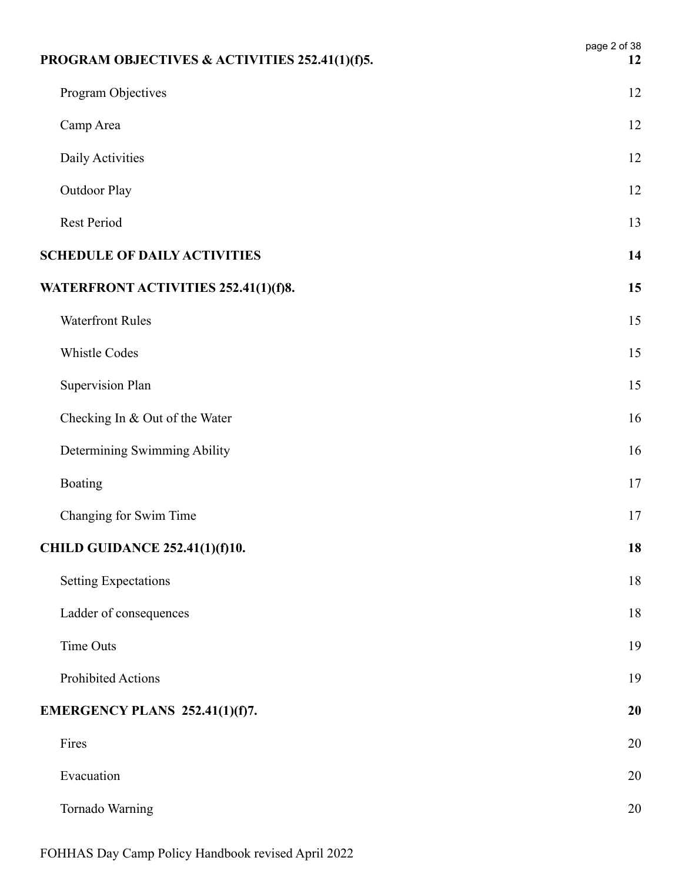| PROGRAM OBJECTIVES & ACTIVITIES 252.41(1)(f)5. | page 2 of 38<br>12 |
|------------------------------------------------|--------------------|
| Program Objectives                             | 12                 |
| Camp Area                                      | 12                 |
| Daily Activities                               | 12                 |
| Outdoor Play                                   | 12                 |
| Rest Period                                    | 13                 |
| <b>SCHEDULE OF DAILY ACTIVITIES</b>            | 14                 |
| WATERFRONT ACTIVITIES 252.41(1)(f)8.           | 15                 |
| <b>Waterfront Rules</b>                        | 15                 |
| Whistle Codes                                  | 15                 |
| <b>Supervision Plan</b>                        | 15                 |
| Checking In & Out of the Water                 | 16                 |
| Determining Swimming Ability                   | 16                 |
| Boating                                        | 17                 |
| Changing for Swim Time                         | 17                 |
| <b>CHILD GUIDANCE 252.41(1)(f)10.</b>          | 18                 |
| <b>Setting Expectations</b>                    | 18                 |
| Ladder of consequences                         | 18                 |
| Time Outs                                      | 19                 |
| Prohibited Actions                             | 19                 |
| EMERGENCY PLANS 252.41(1)(f)7.                 | 20                 |
| Fires                                          | 20                 |
| Evacuation                                     | 20                 |
| Tornado Warning                                | 20                 |
|                                                |                    |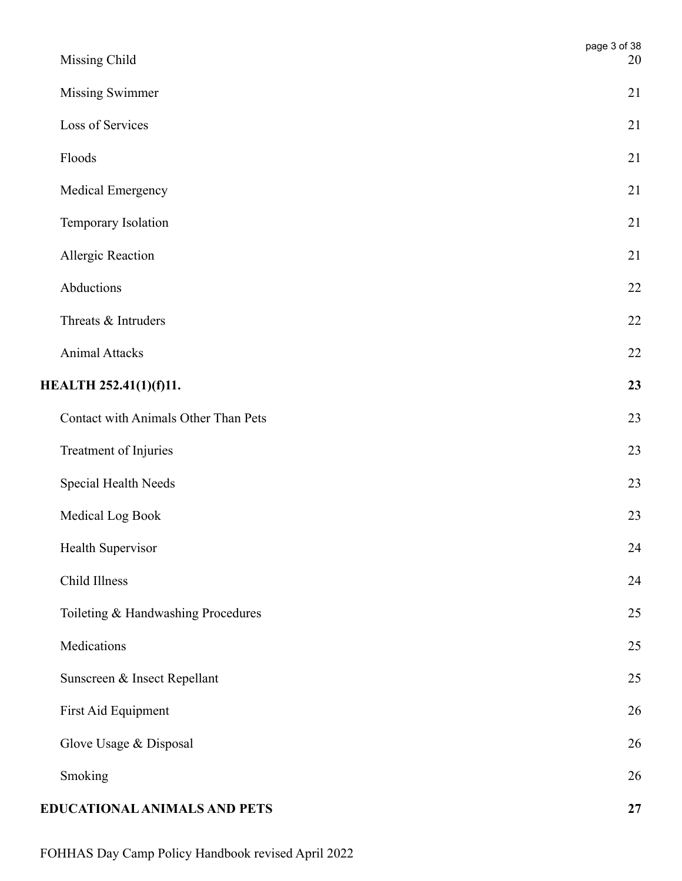| Missing Child                        | page 3 of 38<br>20 |
|--------------------------------------|--------------------|
| <b>Missing Swimmer</b>               | 21                 |
| Loss of Services                     | 21                 |
| Floods                               | 21                 |
| Medical Emergency                    | 21                 |
| Temporary Isolation                  | 21                 |
| Allergic Reaction                    | 21                 |
| Abductions                           | $22\,$             |
| Threats & Intruders                  | 22                 |
| <b>Animal Attacks</b>                | 22                 |
| <b>HEALTH 252.41(1)(f)11.</b>        | 23                 |
| Contact with Animals Other Than Pets | 23                 |
| Treatment of Injuries                | 23                 |
| Special Health Needs                 | 23                 |
| Medical Log Book                     | 23                 |
| Health Supervisor                    | 24                 |
| Child Illness                        | 24                 |
| Toileting & Handwashing Procedures   | 25                 |
| Medications                          | 25                 |
| Sunscreen & Insect Repellant         | 25                 |
| First Aid Equipment                  | 26                 |
| Glove Usage & Disposal               | 26                 |
| Smoking                              | 26                 |
| EDUCATIONAL ANIMALS AND PETS         | $\bf{27}$          |

FOHHAS Day Camp Policy Handbook revised April 2022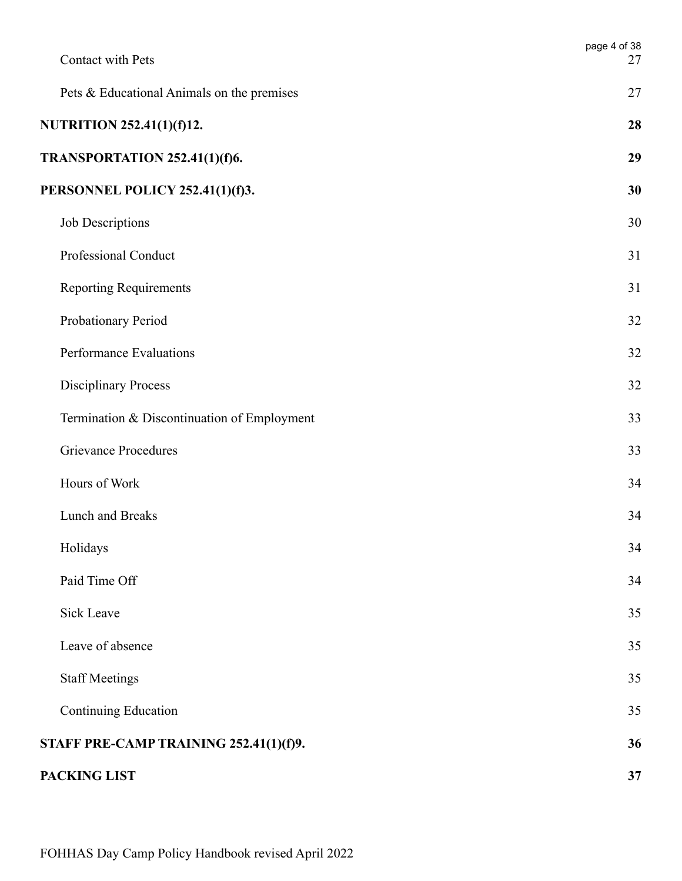| Contact with Pets                           | page 4 of 38<br>27 |
|---------------------------------------------|--------------------|
| Pets & Educational Animals on the premises  | 27                 |
| NUTRITION 252.41(1)(f)12.                   | 28                 |
| TRANSPORTATION 252.41(1)(f)6.               | 29                 |
| PERSONNEL POLICY 252.41(1)(f)3.             | 30                 |
| Job Descriptions                            | 30                 |
| Professional Conduct                        | 31                 |
| <b>Reporting Requirements</b>               | 31                 |
| Probationary Period                         | 32                 |
| Performance Evaluations                     | 32                 |
| <b>Disciplinary Process</b>                 | 32                 |
| Termination & Discontinuation of Employment | 33                 |
| <b>Grievance Procedures</b>                 | 33                 |
| Hours of Work                               | 34                 |
| Lunch and Breaks                            | 34                 |
| Holidays                                    | 34                 |
| Paid Time Off                               | 34                 |
| Sick Leave                                  | 35                 |
| Leave of absence                            | 35                 |
| <b>Staff Meetings</b>                       | 35                 |
| Continuing Education                        | 35                 |
| STAFF PRE-CAMP TRAINING 252.41(1)(f)9.      | 36                 |
| PACKING LIST                                | 37                 |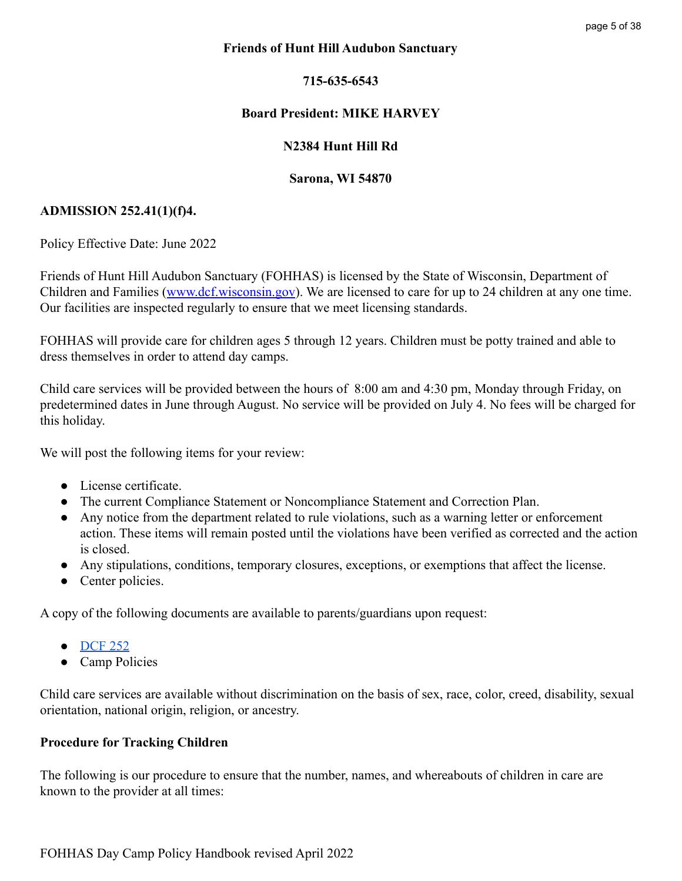### **Friends of Hunt Hill Audubon Sanctuary**

### **715-635-6543**

### **Board President: MIKE HARVEY**

### **N2384 Hunt Hill Rd**

#### **Sarona, WI 54870**

#### <span id="page-4-0"></span>**ADMISSION 252.41(1)(f)4.**

Policy Effective Date: June 2022

Friends of Hunt Hill Audubon Sanctuary (FOHHAS) is licensed by the State of Wisconsin, Department of Children and Families ([www.dcf.wisconsin.gov](http://www.dcf.wisconsin.gov)). We are licensed to care for up to 24 children at any one time. Our facilities are inspected regularly to ensure that we meet licensing standards.

FOHHAS will provide care for children ages 5 through 12 years. Children must be potty trained and able to dress themselves in order to attend day camps.

Child care services will be provided between the hours of 8:00 am and 4:30 pm, Monday through Friday, on predetermined dates in June through August. No service will be provided on July 4. No fees will be charged for this holiday.

We will post the following items for your review:

- License certificate
- The current Compliance Statement or Noncompliance Statement and Correction Plan.
- Any notice from the department related to rule violations, such as a warning letter or enforcement action. These items will remain posted until the violations have been verified as corrected and the action is closed.
- Any stipulations, conditions, temporary closures, exceptions, or exemptions that affect the license.
- Center policies.

A copy of the following documents are available to parents/guardians upon request:

- [DCF 252](https://docs.legis.wisconsin.gov/code/admin_code/dcf/201_252/252)
- Camp Policies

Child care services are available without discrimination on the basis of sex, race, color, creed, disability, sexual orientation, national origin, religion, or ancestry.

### <span id="page-4-1"></span>**Procedure for Tracking Children**

The following is our procedure to ensure that the number, names, and whereabouts of children in care are known to the provider at all times: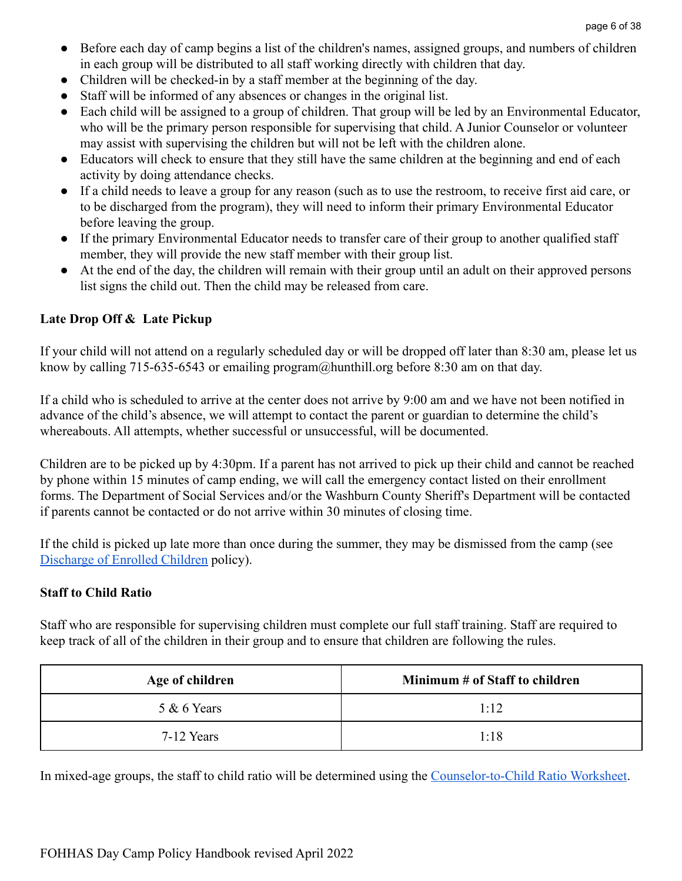- Before each day of camp begins a list of the children's names, assigned groups, and numbers of children in each group will be distributed to all staff working directly with children that day.
- Children will be checked-in by a staff member at the beginning of the day.
- Staff will be informed of any absences or changes in the original list.
- Each child will be assigned to a group of children. That group will be led by an Environmental Educator, who will be the primary person responsible for supervising that child. A Junior Counselor or volunteer may assist with supervising the children but will not be left with the children alone.
- Educators will check to ensure that they still have the same children at the beginning and end of each activity by doing attendance checks.
- If a child needs to leave a group for any reason (such as to use the restroom, to receive first aid care, or to be discharged from the program), they will need to inform their primary Environmental Educator before leaving the group.
- If the primary Environmental Educator needs to transfer care of their group to another qualified staff member, they will provide the new staff member with their group list.
- At the end of the day, the children will remain with their group until an adult on their approved persons list signs the child out. Then the child may be released from care.

### <span id="page-5-0"></span>**Late Drop Off & Late Pickup**

If your child will not attend on a regularly scheduled day or will be dropped off later than 8:30 am, please let us know by calling 715-635-6543 or emailing program@hunthill.org before 8:30 am on that day.

If a child who is scheduled to arrive at the center does not arrive by 9:00 am and we have not been notified in advance of the child's absence, we will attempt to contact the parent or guardian to determine the child's whereabouts. All attempts, whether successful or unsuccessful, will be documented.

Children are to be picked up by 4:30pm. If a parent has not arrived to pick up their child and cannot be reached by phone within 15 minutes of camp ending, we will call the emergency contact listed on their enrollment forms. The Department of Social Services and/or the Washburn County Sheriff's Department will be contacted if parents cannot be contacted or do not arrive within 30 minutes of closing time.

If the child is picked up late more than once during the summer, they may be dismissed from the camp (see [Discharge of Enrolled Children](#page-8-0) policy).

### <span id="page-5-1"></span>**Staff to Child Ratio**

Staff who are responsible for supervising children must complete our full staff training. Staff are required to keep track of all of the children in their group and to ensure that children are following the rules.

| Minimum # of Staff to children<br>Age of children |      |
|---------------------------------------------------|------|
| $5 & 6$ Years                                     | 1:12 |
| 7-12 Years                                        | 1:18 |

In mixed-age groups, the staff to child ratio will be determined using the [Counselor-to-Child Ratio](https://drive.google.com/file/d/1kbBocaGRuowfwW9SFOcZ0OjI-dHhb3br/view?usp=sharing) Worksheet.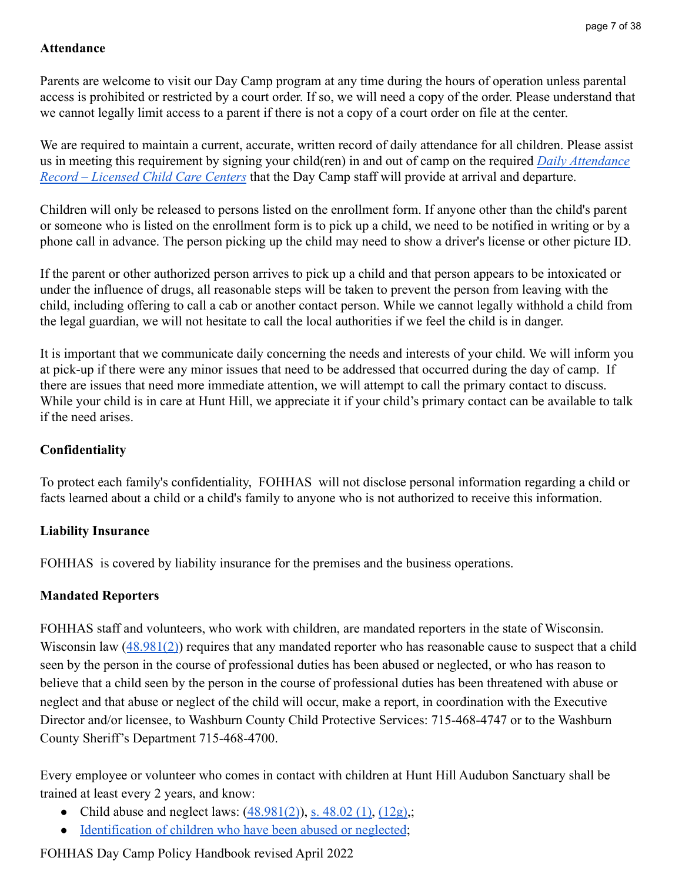### <span id="page-6-0"></span>**Attendance**

Parents are welcome to visit our Day Camp program at any time during the hours of operation unless parental access is prohibited or restricted by a court order. If so, we will need a copy of the order. Please understand that we cannot legally limit access to a parent if there is not a copy of a court order on file at the center.

We are required to maintain a current, accurate, written record of daily attendance for all children. Please assist us in meeting this requirement by signing your child(ren) in and out of camp on the required *[Daily Attendance](https://drive.google.com/file/d/1w08WJojtSfeOwELg-zDefEi2aUCKXYFk/view?usp=sharing) [Record – Licensed Child Care Centers](https://drive.google.com/file/d/1w08WJojtSfeOwELg-zDefEi2aUCKXYFk/view?usp=sharing)* that the Day Camp staff will provide at arrival and departure.

Children will only be released to persons listed on the enrollment form. If anyone other than the child's parent or someone who is listed on the enrollment form is to pick up a child, we need to be notified in writing or by a phone call in advance. The person picking up the child may need to show a driver's license or other picture ID.

If the parent or other authorized person arrives to pick up a child and that person appears to be intoxicated or under the influence of drugs, all reasonable steps will be taken to prevent the person from leaving with the child, including offering to call a cab or another contact person. While we cannot legally withhold a child from the legal guardian, we will not hesitate to call the local authorities if we feel the child is in danger.

It is important that we communicate daily concerning the needs and interests of your child. We will inform you at pick-up if there were any minor issues that need to be addressed that occurred during the day of camp. If there are issues that need more immediate attention, we will attempt to call the primary contact to discuss. While your child is in care at Hunt Hill, we appreciate it if your child's primary contact can be available to talk if the need arises.

### <span id="page-6-1"></span>**Confidentiality**

To protect each family's confidentiality, FOHHAS will not disclose personal information regarding a child or facts learned about a child or a child's family to anyone who is not authorized to receive this information.

## <span id="page-6-2"></span>**Liability Insurance**

FOHHAS is covered by liability insurance for the premises and the business operations.

## <span id="page-6-3"></span>**Mandated Reporters**

FOHHAS staff and volunteers, who work with children, are mandated reporters in the state of Wisconsin. Wisconsin law ([48.981\(2\)](https://docs.legis.wisconsin.gov/statutes/statutes/48/xxi/981/2)) requires that any mandated reporter who has reasonable cause to suspect that a child seen by the person in the course of professional duties has been abused or neglected, or who has reason to believe that a child seen by the person in the course of professional duties has been threatened with abuse or neglect and that abuse or neglect of the child will occur, make a report, in coordination with the Executive Director and/or licensee, to Washburn County Child Protective Services: 715-468-4747 or to the Washburn County Sheriff's Department 715-468-4700.

Every employee or volunteer who comes in contact with children at Hunt Hill Audubon Sanctuary shall be trained at least every 2 years, and know:

- Child abuse and neglect laws:  $(48.981(2))$  $(48.981(2))$ , s.  $48.02(1)$ ,  $(12g)$ ;
- [Identification of children who have been abused or neglected](https://dcf.wisconsin.gov/files/publications/pdf/0101.pdf);

## FOHHAS Day Camp Policy Handbook revised April 2022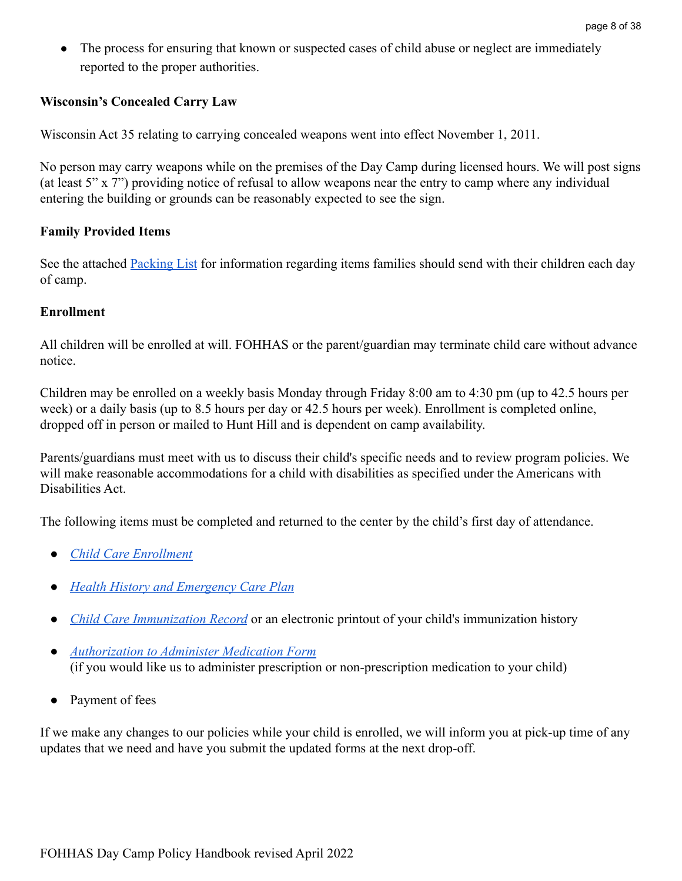• The process for ensuring that known or suspected cases of child abuse or neglect are immediately reported to the proper authorities.

### <span id="page-7-0"></span>**Wisconsin's Concealed Carry Law**

Wisconsin Act 35 relating to carrying concealed weapons went into effect November 1, 2011.

No person may carry weapons while on the premises of the Day Camp during licensed hours. We will post signs (at least 5" x 7") providing notice of refusal to allow weapons near the entry to camp where any individual entering the building or grounds can be reasonably expected to see the sign.

#### <span id="page-7-1"></span>**Family Provided Items**

See the attached [Packing List](#page-37-0) for information regarding items families should send with their children each day of camp.

#### <span id="page-7-2"></span>**Enrollment**

All children will be enrolled at will. FOHHAS or the parent/guardian may terminate child care without advance notice.

Children may be enrolled on a weekly basis Monday through Friday 8:00 am to 4:30 pm (up to 42.5 hours per week) or a daily basis (up to 8.5 hours per day or 42.5 hours per week). Enrollment is completed online, dropped off in person or mailed to Hunt Hill and is dependent on camp availability.

Parents/guardians must meet with us to discuss their child's specific needs and to review program policies. We will make reasonable accommodations for a child with disabilities as specified under the Americans with Disabilities Act.

The following items must be completed and returned to the center by the child's first day of attendance.

- *[Child Care Enrollment](https://drive.google.com/file/d/1eXUqH-CWteTwPJix9msBe08h1oZdmG48/view?usp=sharing)*
- *[Health History and Emergency Care Plan](https://drive.google.com/file/d/12a1ZmpZ4Ag3ZVe0nzKHe5NyAfJaKLbKU/view?usp=sharing)*
- *[Child Care Immunization Record](https://drive.google.com/file/d/14daPl3QGYhp7Vf0sseMI_8XC5SyCN2Se/view?usp=sharing)* or an electronic printout of your child's immunization history
- *● [Authorization to Administer Medication Form](https://drive.google.com/file/d/1Efs7RyStKrWyUtbhh4qGqbkBsgkWZCMR/view?usp=sharing)* (if you would like us to administer prescription or non-prescription medication to your child)
- Payment of fees

If we make any changes to our policies while your child is enrolled, we will inform you at pick-up time of any updates that we need and have you submit the updated forms at the next drop-off.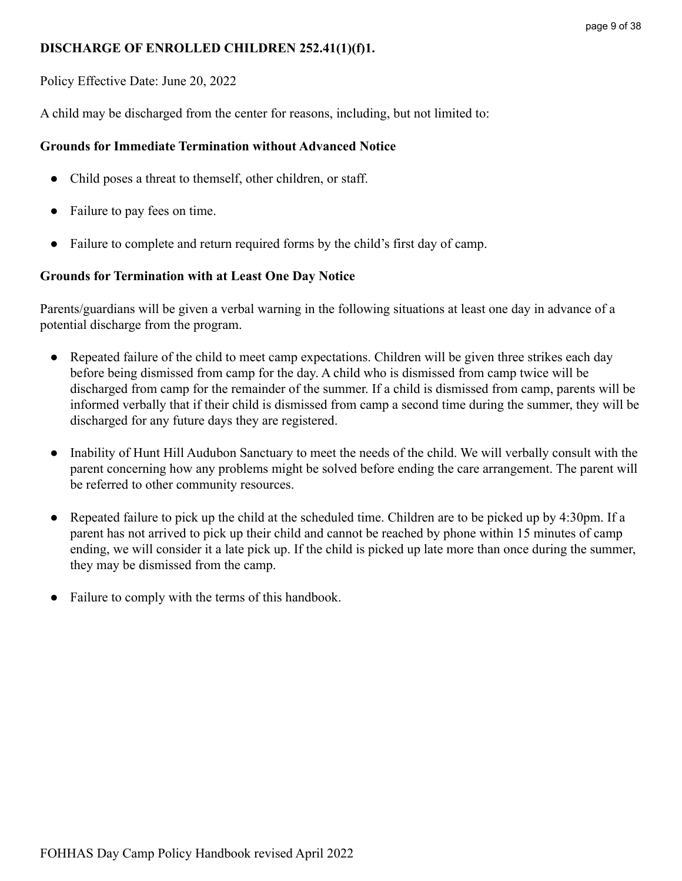### <span id="page-8-0"></span>**DISCHARGE OF ENROLLED CHILDREN 252.41(1)(f)1.**

Policy Effective Date: June 20, 2022

A child may be discharged from the center for reasons, including, but not limited to:

### <span id="page-8-1"></span>**Grounds for Immediate Termination without Advanced Notice**

- Child poses a threat to themself, other children, or staff.
- Failure to pay fees on time.
- Failure to complete and return required forms by the child's first day of camp.

### <span id="page-8-2"></span>**Grounds for Termination with at Least One Day Notice**

Parents/guardians will be given a verbal warning in the following situations at least one day in advance of a potential discharge from the program.

- Repeated failure of the child to meet camp expectations. Children will be given three strikes each day before being dismissed from camp for the day. A child who is dismissed from camp twice will be discharged from camp for the remainder of the summer. If a child is dismissed from camp, parents will be informed verbally that if their child is dismissed from camp a second time during the summer, they will be discharged for any future days they are registered.
- Inability of Hunt Hill Audubon Sanctuary to meet the needs of the child. We will verbally consult with the parent concerning how any problems might be solved before ending the care arrangement. The parent will be referred to other community resources.
- Repeated failure to pick up the child at the scheduled time. Children are to be picked up by 4:30pm. If a parent has not arrived to pick up their child and cannot be reached by phone within 15 minutes of camp ending, we will consider it a late pick up. If the child is picked up late more than once during the summer, they may be dismissed from the camp.
- Failure to comply with the terms of this handbook.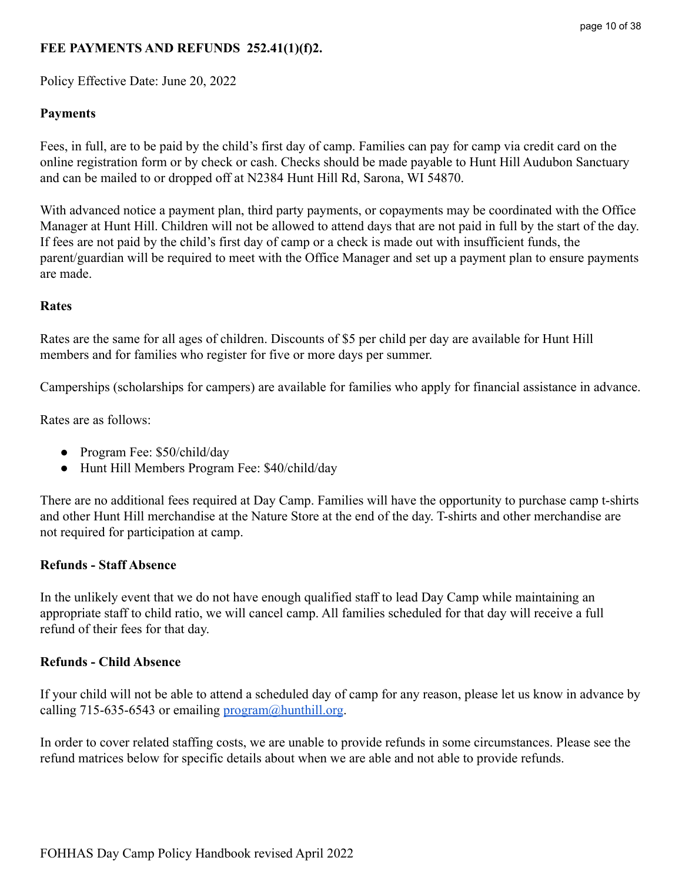# <span id="page-9-0"></span>**FEE PAYMENTS AND REFUNDS 252.41(1)(f)2.**

Policy Effective Date: June 20, 2022

### <span id="page-9-1"></span>**Payments**

Fees, in full, are to be paid by the child's first day of camp. Families can pay for camp via credit card on the online registration form or by check or cash. Checks should be made payable to Hunt Hill Audubon Sanctuary and can be mailed to or dropped off at N2384 Hunt Hill Rd, Sarona, WI 54870.

With advanced notice a payment plan, third party payments, or copayments may be coordinated with the Office Manager at Hunt Hill. Children will not be allowed to attend days that are not paid in full by the start of the day. If fees are not paid by the child's first day of camp or a check is made out with insufficient funds, the parent/guardian will be required to meet with the Office Manager and set up a payment plan to ensure payments are made.

### <span id="page-9-2"></span>**Rates**

Rates are the same for all ages of children. Discounts of \$5 per child per day are available for Hunt Hill members and for families who register for five or more days per summer.

Camperships (scholarships for campers) are available for families who apply for financial assistance in advance.

Rates are as follows:

- Program Fee: \$50/child/day
- Hunt Hill Members Program Fee: \$40/child/day

There are no additional fees required at Day Camp. Families will have the opportunity to purchase camp t-shirts and other Hunt Hill merchandise at the Nature Store at the end of the day. T-shirts and other merchandise are not required for participation at camp.

### <span id="page-9-3"></span>**Refunds - Staff Absence**

In the unlikely event that we do not have enough qualified staff to lead Day Camp while maintaining an appropriate staff to child ratio, we will cancel camp. All families scheduled for that day will receive a full refund of their fees for that day.

### <span id="page-9-4"></span>**Refunds - Child Absence**

If your child will not be able to attend a scheduled day of camp for any reason, please let us know in advance by calling 715-635-6543 or emailing  $\frac{1}{2}$  program $\frac{1}{2}$  hunthill.org.

In order to cover related staffing costs, we are unable to provide refunds in some circumstances. Please see the refund matrices below for specific details about when we are able and not able to provide refunds.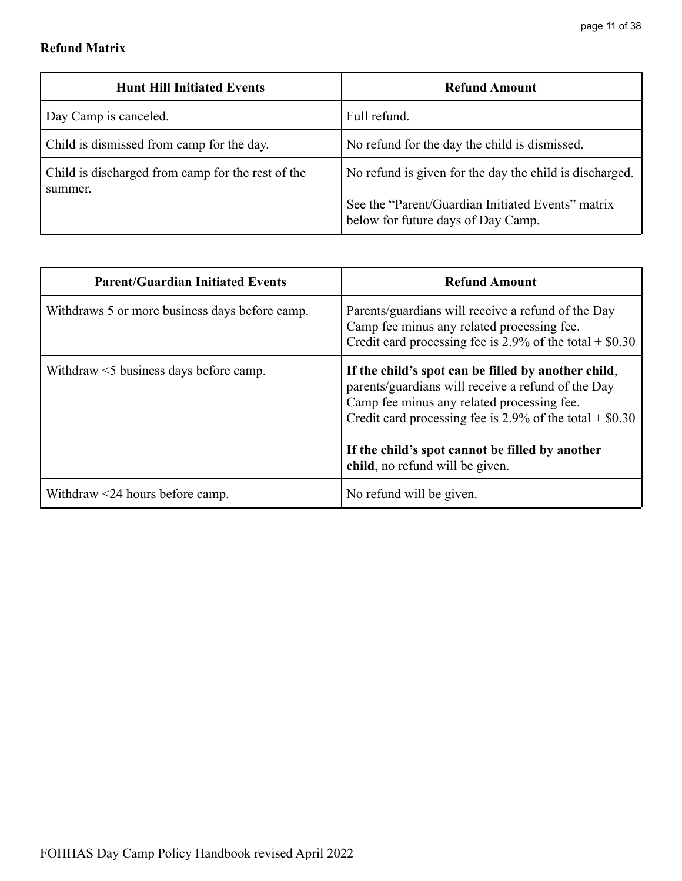# <span id="page-10-0"></span>**Refund Matrix**

| <b>Hunt Hill Initiated Events</b>                            | <b>Refund Amount</b>                                                                                                                               |
|--------------------------------------------------------------|----------------------------------------------------------------------------------------------------------------------------------------------------|
| Day Camp is canceled.                                        | Full refund.                                                                                                                                       |
| Child is dismissed from camp for the day.                    | No refund for the day the child is dismissed.                                                                                                      |
| Child is discharged from camp for the rest of the<br>summer. | No refund is given for the day the child is discharged.<br>See the "Parent/Guardian Initiated Events" matrix<br>below for future days of Day Camp. |

| <b>Parent/Guardian Initiated Events</b>        | <b>Refund Amount</b>                                                                                                                                                                                                                                                      |
|------------------------------------------------|---------------------------------------------------------------------------------------------------------------------------------------------------------------------------------------------------------------------------------------------------------------------------|
| Withdraws 5 or more business days before camp. | Parents/guardians will receive a refund of the Day<br>Camp fee minus any related processing fee.<br>Credit card processing fee is $2.9\%$ of the total + \$0.30                                                                                                           |
| Withdraw $\leq$ 5 business days before camp.   | If the child's spot can be filled by another child,<br>parents/guardians will receive a refund of the Day<br>Camp fee minus any related processing fee.<br>Credit card processing fee is $2.9\%$ of the total + \$0.30<br>If the child's spot cannot be filled by another |
|                                                | child, no refund will be given.                                                                                                                                                                                                                                           |
| Withdraw $\leq$ 24 hours before camp.          | No refund will be given.                                                                                                                                                                                                                                                  |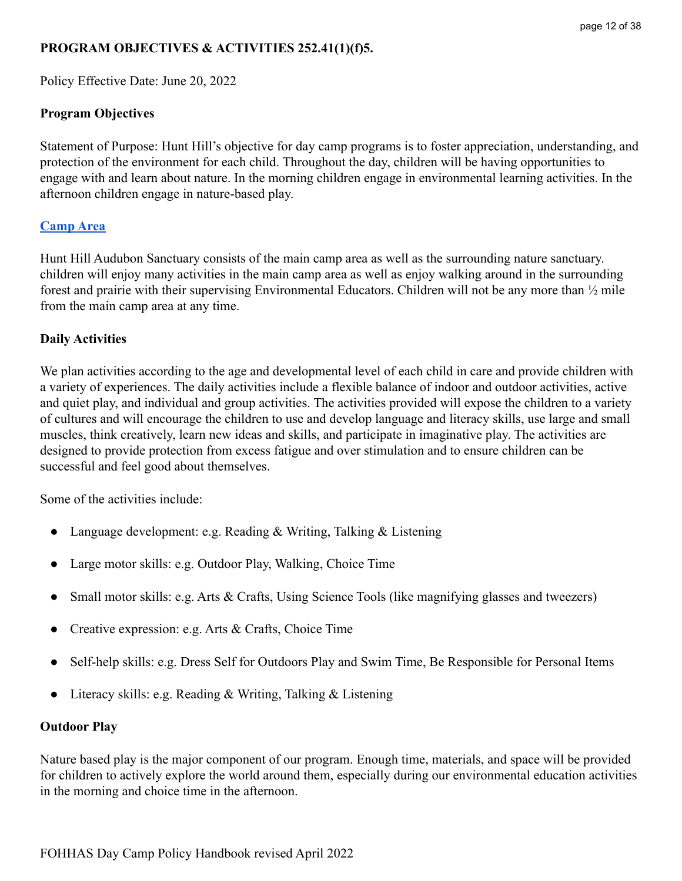### <span id="page-11-0"></span>**PROGRAM OBJECTIVES & ACTIVITIES 252.41(1)(f)5.**

Policy Effective Date: June 20, 2022

### <span id="page-11-1"></span>**Program Objectives**

Statement of Purpose: Hunt Hill's objective for day camp programs is to foster appreciation, understanding, and protection of the environment for each child. Throughout the day, children will be having opportunities to engage with and learn about nature. In the morning children engage in environmental learning activities. In the afternoon children engage in nature-based play.

### <span id="page-11-2"></span>**[Camp Area](https://hunthill.org/wp-content/uploads/2021/11/Trail-and-Campus-Map-2022.pdf)**

Hunt Hill Audubon Sanctuary consists of the main camp area as well as the surrounding nature sanctuary. children will enjoy many activities in the main camp area as well as enjoy walking around in the surrounding forest and prairie with their supervising Environmental Educators. Children will not be any more than ½ mile from the main camp area at any time.

### <span id="page-11-3"></span>**Daily Activities**

We plan activities according to the age and developmental level of each child in care and provide children with a variety of experiences. The daily activities include a flexible balance of indoor and outdoor activities, active and quiet play, and individual and group activities. The activities provided will expose the children to a variety of cultures and will encourage the children to use and develop language and literacy skills, use large and small muscles, think creatively, learn new ideas and skills, and participate in imaginative play. The activities are designed to provide protection from excess fatigue and over stimulation and to ensure children can be successful and feel good about themselves.

Some of the activities include:

- Language development: e.g. Reading  $&$  Writing, Talking  $&$  Listening
- Large motor skills: e.g. Outdoor Play, Walking, Choice Time
- Small motor skills: e.g. Arts & Crafts, Using Science Tools (like magnifying glasses and tweezers)
- Creative expression: e.g. Arts & Crafts, Choice Time
- Self-help skills: e.g. Dress Self for Outdoors Play and Swim Time, Be Responsible for Personal Items
- Literacy skills: e.g. Reading & Writing, Talking & Listening

#### <span id="page-11-4"></span>**Outdoor Play**

Nature based play is the major component of our program. Enough time, materials, and space will be provided for children to actively explore the world around them, especially during our environmental education activities in the morning and choice time in the afternoon.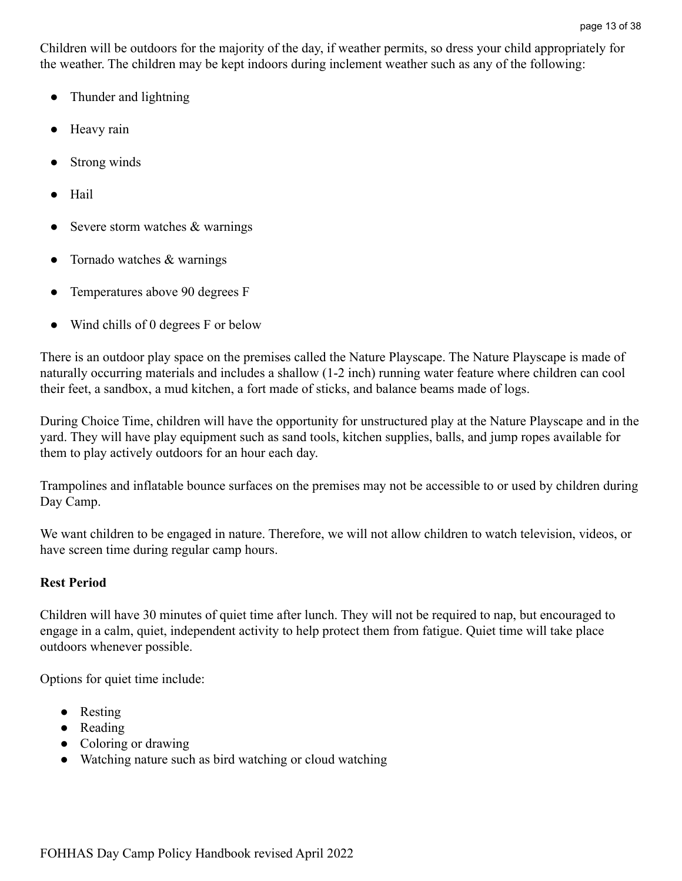Children will be outdoors for the majority of the day, if weather permits, so dress your child appropriately for the weather. The children may be kept indoors during inclement weather such as any of the following:

- Thunder and lightning
- Heavy rain
- Strong winds
- Hail
- Severe storm watches  $&$  warnings
- $\bullet$  Tornado watches & warnings
- Temperatures above 90 degrees F
- Wind chills of 0 degrees F or below

There is an outdoor play space on the premises called the Nature Playscape. The Nature Playscape is made of naturally occurring materials and includes a shallow (1-2 inch) running water feature where children can cool their feet, a sandbox, a mud kitchen, a fort made of sticks, and balance beams made of logs.

During Choice Time, children will have the opportunity for unstructured play at the Nature Playscape and in the yard. They will have play equipment such as sand tools, kitchen supplies, balls, and jump ropes available for them to play actively outdoors for an hour each day.

Trampolines and inflatable bounce surfaces on the premises may not be accessible to or used by children during Day Camp.

We want children to be engaged in nature. Therefore, we will not allow children to watch television, videos, or have screen time during regular camp hours.

### <span id="page-12-0"></span>**Rest Period**

Children will have 30 minutes of quiet time after lunch. They will not be required to nap, but encouraged to engage in a calm, quiet, independent activity to help protect them from fatigue. Quiet time will take place outdoors whenever possible.

Options for quiet time include:

- Resting
- Reading
- Coloring or drawing
- Watching nature such as bird watching or cloud watching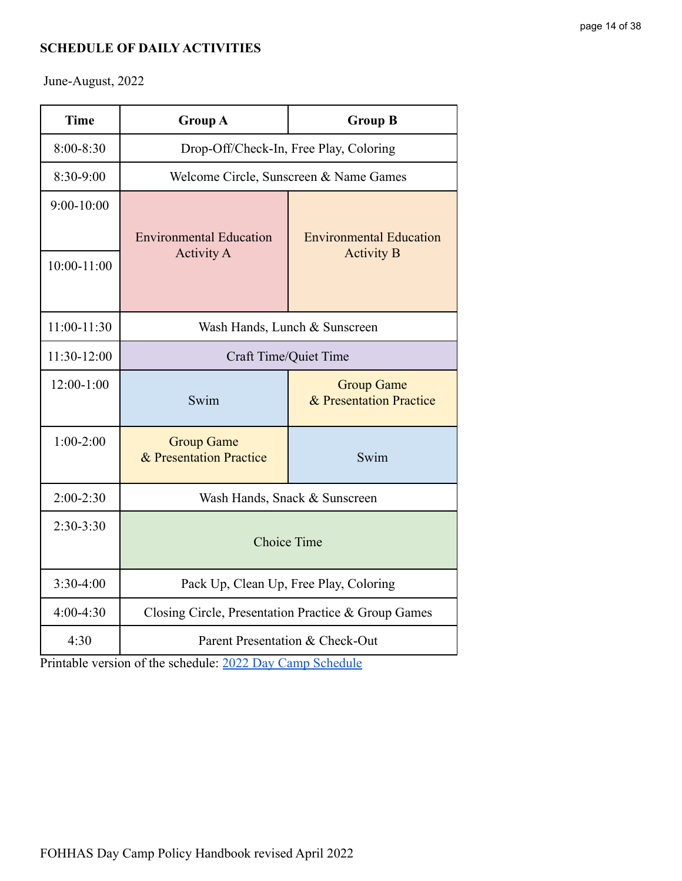## <span id="page-13-0"></span>**SCHEDULE OF DAILY ACTIVITIES**

June-August, 2022

| <b>Time</b>    | <b>Group A</b>                                      | <b>Group B</b>                                      |  |
|----------------|-----------------------------------------------------|-----------------------------------------------------|--|
| 8:00-8:30      | Drop-Off/Check-In, Free Play, Coloring              |                                                     |  |
| 8:30-9:00      | Welcome Circle, Sunscreen & Name Games              |                                                     |  |
| $9:00 - 10:00$ | <b>Environmental Education</b><br><b>Activity A</b> | <b>Environmental Education</b><br><b>Activity B</b> |  |
| 10:00-11:00    |                                                     |                                                     |  |
| $11:00-11:30$  | Wash Hands, Lunch & Sunscreen                       |                                                     |  |
| 11:30-12:00    | Craft Time/Quiet Time                               |                                                     |  |
| $12:00-1:00$   | Swim                                                | <b>Group Game</b><br>& Presentation Practice        |  |
| $1:00-2:00$    | <b>Group Game</b><br>& Presentation Practice        | Swim                                                |  |
| $2:00-2:30$    | Wash Hands, Snack & Sunscreen                       |                                                     |  |
| $2:30-3:30$    | <b>Choice Time</b>                                  |                                                     |  |
| $3:30-4:00$    | Pack Up, Clean Up, Free Play, Coloring              |                                                     |  |
| $4:00-4:30$    | Closing Circle, Presentation Practice & Group Games |                                                     |  |
| 4:30           | Parent Presentation & Check-Out                     |                                                     |  |

Printable version of the schedule: [2022 Day Camp Schedule](https://docs.google.com/document/d/1wDILImFzy-Uh8a4R33uWx9-NXzw8xJ-64Gy96Z0sGhU/edit?usp=sharing)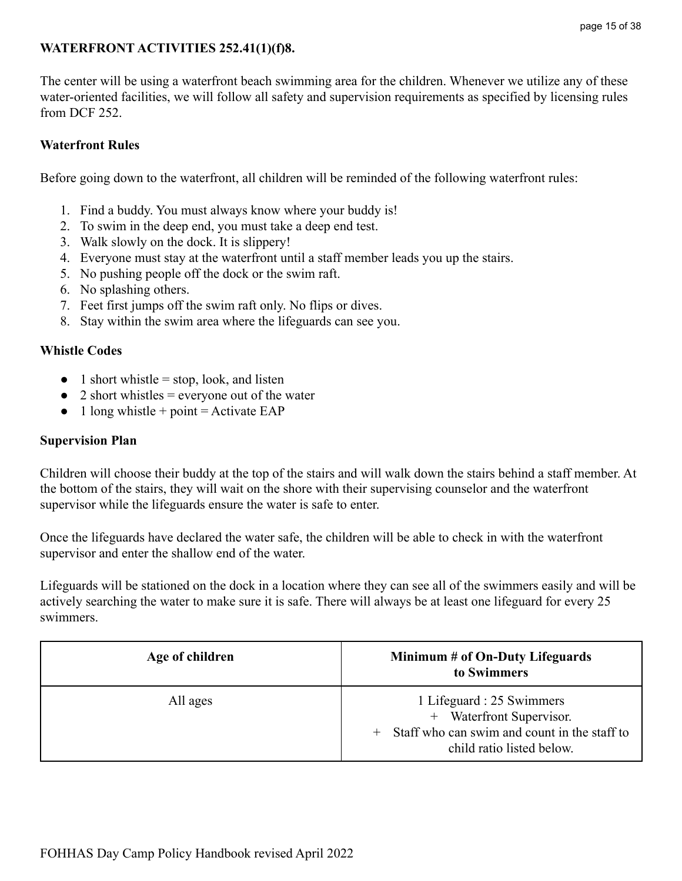# <span id="page-14-0"></span>**WATERFRONT ACTIVITIES 252.41(1)(f)8.**

The center will be using a waterfront beach swimming area for the children. Whenever we utilize any of these water-oriented facilities, we will follow all safety and supervision requirements as specified by licensing rules from DCF 252

## <span id="page-14-1"></span>**Waterfront Rules**

Before going down to the waterfront, all children will be reminded of the following waterfront rules:

- 1. Find a buddy. You must always know where your buddy is!
- 2. To swim in the deep end, you must take a deep end test.
- 3. Walk slowly on the dock. It is slippery!
- 4. Everyone must stay at the waterfront until a staff member leads you up the stairs.
- 5. No pushing people off the dock or the swim raft.
- 6. No splashing others.
- 7. Feet first jumps off the swim raft only. No flips or dives.
- 8. Stay within the swim area where the lifeguards can see you.

### <span id="page-14-2"></span>**Whistle Codes**

- $\bullet$  1 short whistle = stop, look, and listen
- $\bullet$  2 short whistles = everyone out of the water
- $\bullet$  1 long whistle + point = Activate EAP

### <span id="page-14-3"></span>**Supervision Plan**

Children will choose their buddy at the top of the stairs and will walk down the stairs behind a staff member. At the bottom of the stairs, they will wait on the shore with their supervising counselor and the waterfront supervisor while the lifeguards ensure the water is safe to enter.

Once the lifeguards have declared the water safe, the children will be able to check in with the waterfront supervisor and enter the shallow end of the water.

Lifeguards will be stationed on the dock in a location where they can see all of the swimmers easily and will be actively searching the water to make sure it is safe. There will always be at least one lifeguard for every 25 swimmers.

| Age of children | Minimum # of On-Duty Lifeguards<br>to Swimmers                                                                                       |
|-----------------|--------------------------------------------------------------------------------------------------------------------------------------|
| All ages        | 1 Lifeguard : 25 Swimmers<br>+ Waterfront Supervisor.<br>+ Staff who can swim and count in the staff to<br>child ratio listed below. |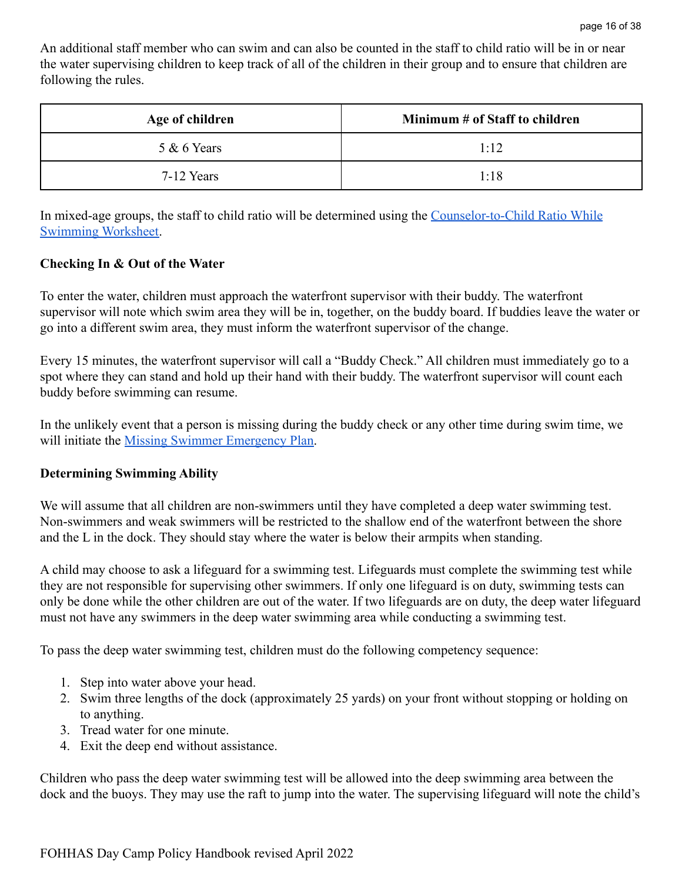An additional staff member who can swim and can also be counted in the staff to child ratio will be in or near the water supervising children to keep track of all of the children in their group and to ensure that children are following the rules.

| Age of children | Minimum # of Staff to children |
|-----------------|--------------------------------|
| $5 & 6$ Years   | 1.12                           |
| 7-12 Years      | 1:18                           |

In mixed-age groups, the staff to child ratio will be determined using the [Counselor-to-Child Ratio](https://drive.google.com/file/d/17S1mYmo3qz5Bd3o3NMxCVJc99Ogop0iL/view?usp=sharing) While [Swimming Worksheet.](https://drive.google.com/file/d/17S1mYmo3qz5Bd3o3NMxCVJc99Ogop0iL/view?usp=sharing)

### <span id="page-15-0"></span>**Checking In & Out of the Water**

To enter the water, children must approach the waterfront supervisor with their buddy. The waterfront supervisor will note which swim area they will be in, together, on the buddy board. If buddies leave the water or go into a different swim area, they must inform the waterfront supervisor of the change.

Every 15 minutes, the waterfront supervisor will call a "Buddy Check." All children must immediately go to a spot where they can stand and hold up their hand with their buddy. The waterfront supervisor will count each buddy before swimming can resume.

In the unlikely event that a person is missing during the buddy check or any other time during swim time, we will initiate the [Missing Swimmer Emergency Plan.](#page-21-0)

### <span id="page-15-1"></span>**Determining Swimming Ability**

We will assume that all children are non-swimmers until they have completed a deep water swimming test. Non-swimmers and weak swimmers will be restricted to the shallow end of the waterfront between the shore and the L in the dock. They should stay where the water is below their armpits when standing.

A child may choose to ask a lifeguard for a swimming test. Lifeguards must complete the swimming test while they are not responsible for supervising other swimmers. If only one lifeguard is on duty, swimming tests can only be done while the other children are out of the water. If two lifeguards are on duty, the deep water lifeguard must not have any swimmers in the deep water swimming area while conducting a swimming test.

To pass the deep water swimming test, children must do the following competency sequence:

- 1. Step into water above your head.
- 2. Swim three lengths of the dock (approximately 25 yards) on your front without stopping or holding on to anything.
- 3. Tread water for one minute.
- 4. Exit the deep end without assistance.

Children who pass the deep water swimming test will be allowed into the deep swimming area between the dock and the buoys. They may use the raft to jump into the water. The supervising lifeguard will note the child's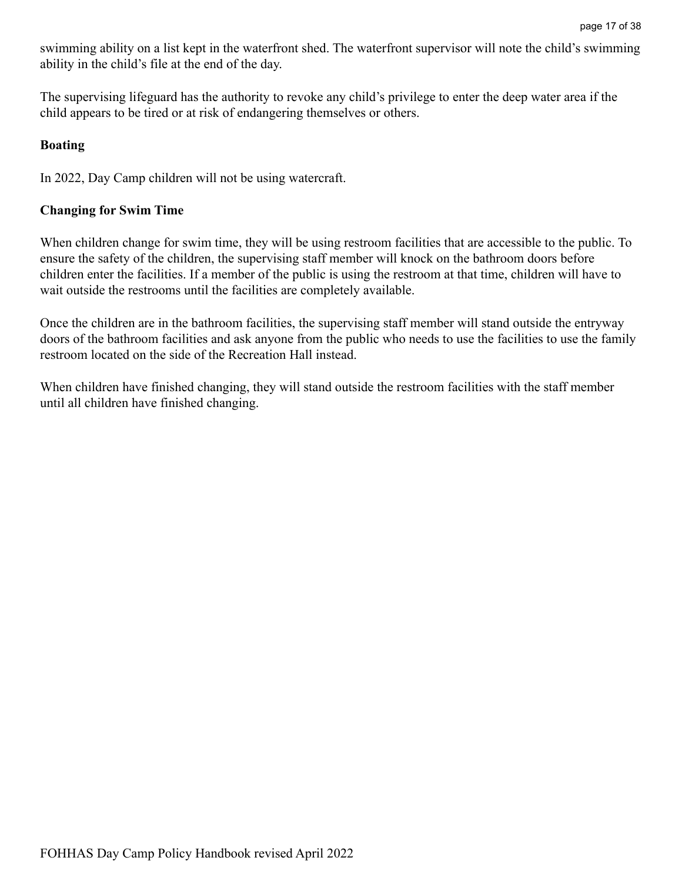swimming ability on a list kept in the waterfront shed. The waterfront supervisor will note the child's swimming ability in the child's file at the end of the day.

The supervising lifeguard has the authority to revoke any child's privilege to enter the deep water area if the child appears to be tired or at risk of endangering themselves or others.

#### <span id="page-16-0"></span>**Boating**

In 2022, Day Camp children will not be using watercraft.

#### <span id="page-16-1"></span>**Changing for Swim Time**

When children change for swim time, they will be using restroom facilities that are accessible to the public. To ensure the safety of the children, the supervising staff member will knock on the bathroom doors before children enter the facilities. If a member of the public is using the restroom at that time, children will have to wait outside the restrooms until the facilities are completely available.

Once the children are in the bathroom facilities, the supervising staff member will stand outside the entryway doors of the bathroom facilities and ask anyone from the public who needs to use the facilities to use the family restroom located on the side of the Recreation Hall instead.

When children have finished changing, they will stand outside the restroom facilities with the staff member until all children have finished changing.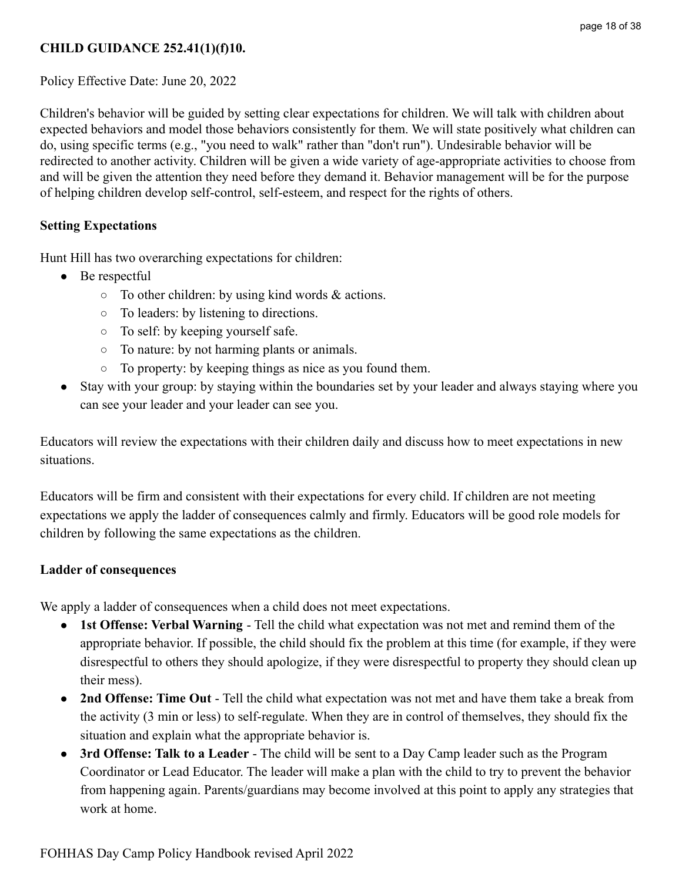# <span id="page-17-0"></span>**CHILD GUIDANCE 252.41(1)(f)10.**

Policy Effective Date: June 20, 2022

Children's behavior will be guided by setting clear expectations for children. We will talk with children about expected behaviors and model those behaviors consistently for them. We will state positively what children can do, using specific terms (e.g., "you need to walk" rather than "don't run"). Undesirable behavior will be redirected to another activity. Children will be given a wide variety of age-appropriate activities to choose from and will be given the attention they need before they demand it. Behavior management will be for the purpose of helping children develop self-control, self-esteem, and respect for the rights of others.

## <span id="page-17-1"></span>**Setting Expectations**

Hunt Hill has two overarching expectations for children:

- **●** Be respectful
	- $\circ$  To other children: by using kind words & actions.
	- To leaders: by listening to directions.
	- To self: by keeping yourself safe.
	- To nature: by not harming plants or animals.
	- To property: by keeping things as nice as you found them.
- **●** Stay with your group: by staying within the boundaries set by your leader and always staying where you can see your leader and your leader can see you.

Educators will review the expectations with their children daily and discuss how to meet expectations in new situations.

Educators will be firm and consistent with their expectations for every child. If children are not meeting expectations we apply the ladder of consequences calmly and firmly. Educators will be good role models for children by following the same expectations as the children.

### <span id="page-17-2"></span>**Ladder of consequences**

We apply a ladder of consequences when a child does not meet expectations.

- **1st Offense: Verbal Warning** Tell the child what expectation was not met and remind them of the appropriate behavior. If possible, the child should fix the problem at this time (for example, if they were disrespectful to others they should apologize, if they were disrespectful to property they should clean up their mess).
- **2nd Offense: Time Out** Tell the child what expectation was not met and have them take a break from the activity (3 min or less) to self-regulate. When they are in control of themselves, they should fix the situation and explain what the appropriate behavior is.
- **3rd Offense: Talk to a Leader** The child will be sent to a Day Camp leader such as the Program Coordinator or Lead Educator. The leader will make a plan with the child to try to prevent the behavior from happening again. Parents/guardians may become involved at this point to apply any strategies that work at home.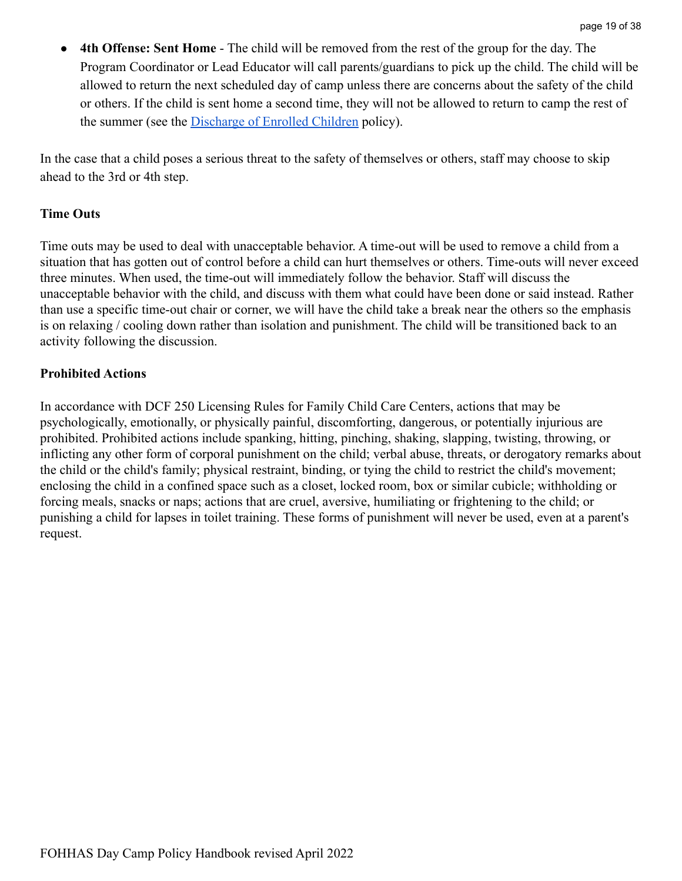**4th Offense: Sent Home** - The child will be removed from the rest of the group for the day. The Program Coordinator or Lead Educator will call parents/guardians to pick up the child. The child will be allowed to return the next scheduled day of camp unless there are concerns about the safety of the child or others. If the child is sent home a second time, they will not be allowed to return to camp the rest of the summer (see the [Discharge of Enrolled Children](#page-8-0) policy).

In the case that a child poses a serious threat to the safety of themselves or others, staff may choose to skip ahead to the 3rd or 4th step.

### <span id="page-18-0"></span>**Time Outs**

Time outs may be used to deal with unacceptable behavior. A time-out will be used to remove a child from a situation that has gotten out of control before a child can hurt themselves or others. Time-outs will never exceed three minutes. When used, the time-out will immediately follow the behavior. Staff will discuss the unacceptable behavior with the child, and discuss with them what could have been done or said instead. Rather than use a specific time-out chair or corner, we will have the child take a break near the others so the emphasis is on relaxing / cooling down rather than isolation and punishment. The child will be transitioned back to an activity following the discussion.

### <span id="page-18-1"></span>**Prohibited Actions**

In accordance with DCF 250 Licensing Rules for Family Child Care Centers, actions that may be psychologically, emotionally, or physically painful, discomforting, dangerous, or potentially injurious are prohibited. Prohibited actions include spanking, hitting, pinching, shaking, slapping, twisting, throwing, or inflicting any other form of corporal punishment on the child; verbal abuse, threats, or derogatory remarks about the child or the child's family; physical restraint, binding, or tying the child to restrict the child's movement; enclosing the child in a confined space such as a closet, locked room, box or similar cubicle; withholding or forcing meals, snacks or naps; actions that are cruel, aversive, humiliating or frightening to the child; or punishing a child for lapses in toilet training. These forms of punishment will never be used, even at a parent's request.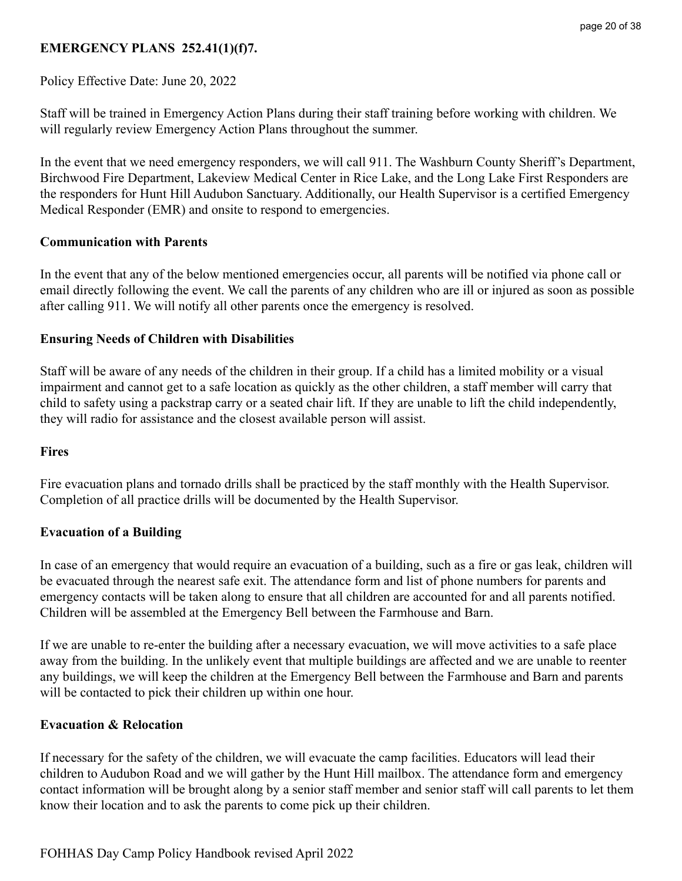## <span id="page-19-0"></span>**EMERGENCY PLANS 252.41(1)(f)7.**

Policy Effective Date: June 20, 2022

Staff will be trained in Emergency Action Plans during their staff training before working with children. We will regularly review Emergency Action Plans throughout the summer.

In the event that we need emergency responders, we will call 911. The Washburn County Sheriff's Department, Birchwood Fire Department, Lakeview Medical Center in Rice Lake, and the Long Lake First Responders are the responders for Hunt Hill Audubon Sanctuary. Additionally, our Health Supervisor is a certified Emergency Medical Responder (EMR) and onsite to respond to emergencies.

#### **Communication with Parents**

In the event that any of the below mentioned emergencies occur, all parents will be notified via phone call or email directly following the event. We call the parents of any children who are ill or injured as soon as possible after calling 911. We will notify all other parents once the emergency is resolved.

#### **Ensuring Needs of Children with Disabilities**

Staff will be aware of any needs of the children in their group. If a child has a limited mobility or a visual impairment and cannot get to a safe location as quickly as the other children, a staff member will carry that child to safety using a packstrap carry or a seated chair lift. If they are unable to lift the child independently, they will radio for assistance and the closest available person will assist.

#### <span id="page-19-1"></span>**Fires**

Fire evacuation plans and tornado drills shall be practiced by the staff monthly with the Health Supervisor. Completion of all practice drills will be documented by the Health Supervisor.

### <span id="page-19-2"></span>**Evacuation of a Building**

In case of an emergency that would require an evacuation of a building, such as a fire or gas leak, children will be evacuated through the nearest safe exit. The attendance form and list of phone numbers for parents and emergency contacts will be taken along to ensure that all children are accounted for and all parents notified. Children will be assembled at the Emergency Bell between the Farmhouse and Barn.

If we are unable to re-enter the building after a necessary evacuation, we will move activities to a safe place away from the building. In the unlikely event that multiple buildings are affected and we are unable to reenter any buildings, we will keep the children at the Emergency Bell between the Farmhouse and Barn and parents will be contacted to pick their children up within one hour.

#### **Evacuation & Relocation**

If necessary for the safety of the children, we will evacuate the camp facilities. Educators will lead their children to Audubon Road and we will gather by the Hunt Hill mailbox. The attendance form and emergency contact information will be brought along by a senior staff member and senior staff will call parents to let them know their location and to ask the parents to come pick up their children.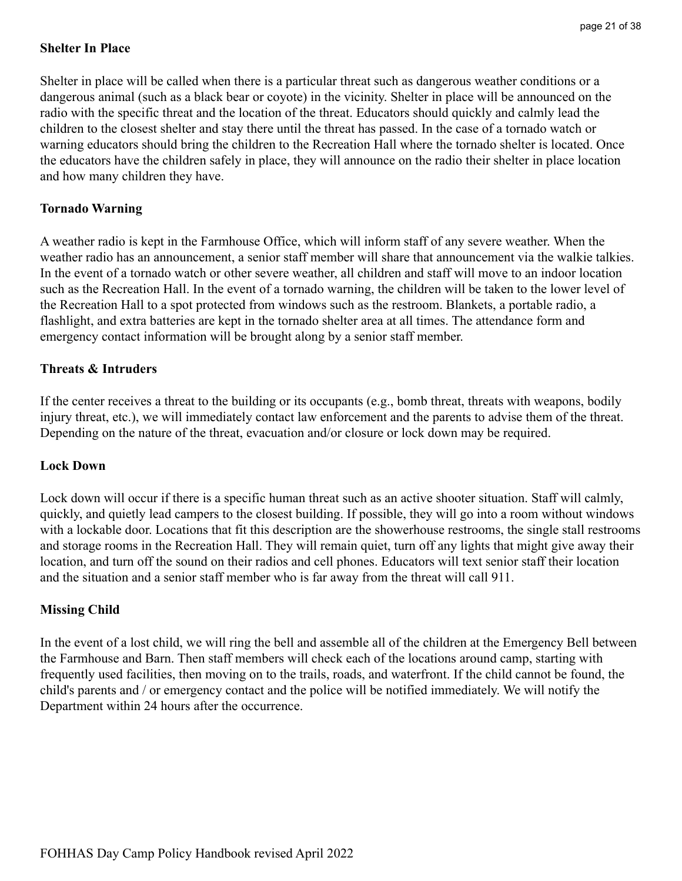### **Shelter In Place**

Shelter in place will be called when there is a particular threat such as dangerous weather conditions or a dangerous animal (such as a black bear or coyote) in the vicinity. Shelter in place will be announced on the radio with the specific threat and the location of the threat. Educators should quickly and calmly lead the children to the closest shelter and stay there until the threat has passed. In the case of a tornado watch or warning educators should bring the children to the Recreation Hall where the tornado shelter is located. Once the educators have the children safely in place, they will announce on the radio their shelter in place location and how many children they have.

#### <span id="page-20-0"></span>**Tornado Warning**

A weather radio is kept in the Farmhouse Office, which will inform staff of any severe weather. When the weather radio has an announcement, a senior staff member will share that announcement via the walkie talkies. In the event of a tornado watch or other severe weather, all children and staff will move to an indoor location such as the Recreation Hall. In the event of a tornado warning, the children will be taken to the lower level of the Recreation Hall to a spot protected from windows such as the restroom. Blankets, a portable radio, a flashlight, and extra batteries are kept in the tornado shelter area at all times. The attendance form and emergency contact information will be brought along by a senior staff member.

#### <span id="page-20-1"></span>**Threats & Intruders**

If the center receives a threat to the building or its occupants (e.g., bomb threat, threats with weapons, bodily injury threat, etc.), we will immediately contact law enforcement and the parents to advise them of the threat. Depending on the nature of the threat, evacuation and/or closure or lock down may be required.

#### **Lock Down**

Lock down will occur if there is a specific human threat such as an active shooter situation. Staff will calmly, quickly, and quietly lead campers to the closest building. If possible, they will go into a room without windows with a lockable door. Locations that fit this description are the showerhouse restrooms, the single stall restrooms and storage rooms in the Recreation Hall. They will remain quiet, turn off any lights that might give away their location, and turn off the sound on their radios and cell phones. Educators will text senior staff their location and the situation and a senior staff member who is far away from the threat will call 911.

#### **Missing Child**

In the event of a lost child, we will ring the bell and assemble all of the children at the Emergency Bell between the Farmhouse and Barn. Then staff members will check each of the locations around camp, starting with frequently used facilities, then moving on to the trails, roads, and waterfront. If the child cannot be found, the child's parents and / or emergency contact and the police will be notified immediately. We will notify the Department within 24 hours after the occurrence.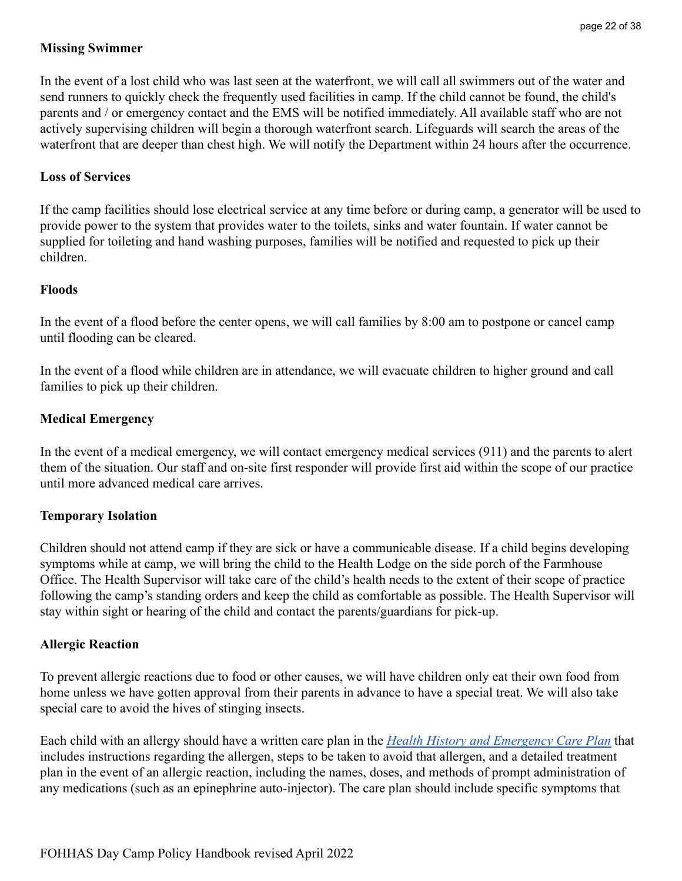### <span id="page-21-0"></span>**Missing Swimmer**

In the event of a lost child who was last seen at the waterfront, we will call all swimmers out of the water and send runners to quickly check the frequently used facilities in camp. If the child cannot be found, the child's parents and / or emergency contact and the EMS will be notified immediately. All available staff who are not actively supervising children will begin a thorough waterfront search. Lifeguards will search the areas of the waterfront that are deeper than chest high. We will notify the Department within 24 hours after the occurrence.

#### <span id="page-21-1"></span>**Loss of Services**

If the camp facilities should lose electrical service at any time before or during camp, a generator will be used to provide power to the system that provides water to the toilets, sinks and water fountain. If water cannot be supplied for toileting and hand washing purposes, families will be notified and requested to pick up their children.

#### <span id="page-21-2"></span>**Floods**

In the event of a flood before the center opens, we will call families by 8:00 am to postpone or cancel camp until flooding can be cleared.

In the event of a flood while children are in attendance, we will evacuate children to higher ground and call families to pick up their children.

#### <span id="page-21-3"></span>**Medical Emergency**

In the event of a medical emergency, we will contact emergency medical services (911) and the parents to alert them of the situation. Our staff and on-site first responder will provide first aid within the scope of our practice until more advanced medical care arrives.

#### <span id="page-21-4"></span>**Temporary Isolation**

Children should not attend camp if they are sick or have a communicable disease. If a child begins developing symptoms while at camp, we will bring the child to the Health Lodge on the side porch of the Farmhouse Office. The Health Supervisor will take care of the child's health needs to the extent of their scope of practice following the camp's standing orders and keep the child as comfortable as possible. The Health Supervisor will stay within sight or hearing of the child and contact the parents/guardians for pick-up.

### <span id="page-21-5"></span>**Allergic Reaction**

To prevent allergic reactions due to food or other causes, we will have children only eat their own food from home unless we have gotten approval from their parents in advance to have a special treat. We will also take special care to avoid the hives of stinging insects.

Each child with an allergy should have a written care plan in the *[Health History and Emergency Care Plan](https://drive.google.com/file/d/12a1ZmpZ4Ag3ZVe0nzKHe5NyAfJaKLbKU/view?usp=sharing)* that includes instructions regarding the allergen, steps to be taken to avoid that allergen, and a detailed treatment plan in the event of an allergic reaction, including the names, doses, and methods of prompt administration of any medications (such as an epinephrine auto-injector). The care plan should include specific symptoms that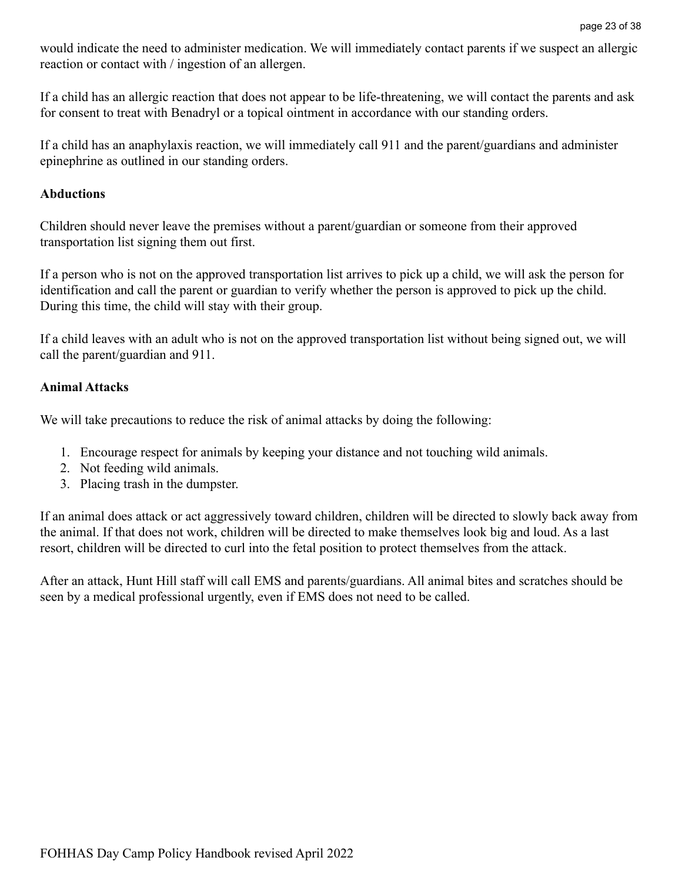would indicate the need to administer medication. We will immediately contact parents if we suspect an allergic reaction or contact with / ingestion of an allergen.

If a child has an allergic reaction that does not appear to be life-threatening, we will contact the parents and ask for consent to treat with Benadryl or a topical ointment in accordance with our standing orders.

If a child has an anaphylaxis reaction, we will immediately call 911 and the parent/guardians and administer epinephrine as outlined in our standing orders.

#### <span id="page-22-0"></span>**Abductions**

Children should never leave the premises without a parent/guardian or someone from their approved transportation list signing them out first.

If a person who is not on the approved transportation list arrives to pick up a child, we will ask the person for identification and call the parent or guardian to verify whether the person is approved to pick up the child. During this time, the child will stay with their group.

If a child leaves with an adult who is not on the approved transportation list without being signed out, we will call the parent/guardian and 911.

#### <span id="page-22-1"></span>**Animal Attacks**

We will take precautions to reduce the risk of animal attacks by doing the following:

- 1. Encourage respect for animals by keeping your distance and not touching wild animals.
- 2. Not feeding wild animals.
- 3. Placing trash in the dumpster.

If an animal does attack or act aggressively toward children, children will be directed to slowly back away from the animal. If that does not work, children will be directed to make themselves look big and loud. As a last resort, children will be directed to curl into the fetal position to protect themselves from the attack.

After an attack, Hunt Hill staff will call EMS and parents/guardians. All animal bites and scratches should be seen by a medical professional urgently, even if EMS does not need to be called.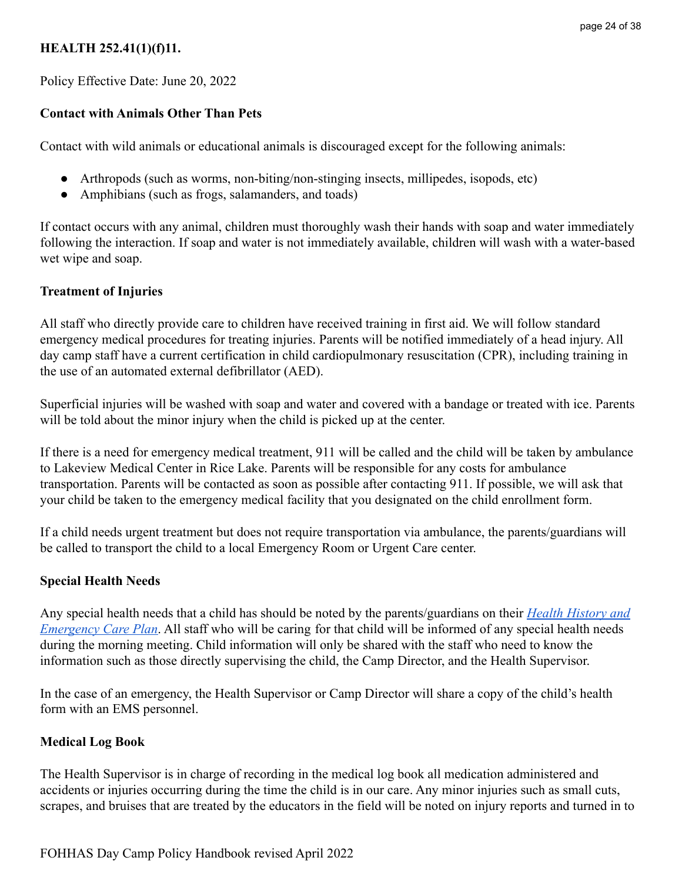### <span id="page-23-0"></span>**HEALTH 252.41(1)(f)11.**

Policy Effective Date: June 20, 2022

### <span id="page-23-1"></span>**Contact with Animals Other Than Pets**

Contact with wild animals or educational animals is discouraged except for the following animals:

- Arthropods (such as worms, non-biting/non-stinging insects, millipedes, isopods, etc)
- Amphibians (such as frogs, salamanders, and toads)

If contact occurs with any animal, children must thoroughly wash their hands with soap and water immediately following the interaction. If soap and water is not immediately available, children will wash with a water-based wet wipe and soap.

#### <span id="page-23-2"></span>**Treatment of Injuries**

All staff who directly provide care to children have received training in first aid. We will follow standard emergency medical procedures for treating injuries. Parents will be notified immediately of a head injury. All day camp staff have a current certification in child cardiopulmonary resuscitation (CPR), including training in the use of an automated external defibrillator (AED).

Superficial injuries will be washed with soap and water and covered with a bandage or treated with ice. Parents will be told about the minor injury when the child is picked up at the center.

If there is a need for emergency medical treatment, 911 will be called and the child will be taken by ambulance to Lakeview Medical Center in Rice Lake. Parents will be responsible for any costs for ambulance transportation. Parents will be contacted as soon as possible after contacting 911. If possible, we will ask that your child be taken to the emergency medical facility that you designated on the child enrollment form.

If a child needs urgent treatment but does not require transportation via ambulance, the parents/guardians will be called to transport the child to a local Emergency Room or Urgent Care center.

#### <span id="page-23-3"></span>**Special Health Needs**

Any special health needs that a child has should be noted by the parents/guardians on their *[Health History](https://drive.google.com/file/d/12a1ZmpZ4Ag3ZVe0nzKHe5NyAfJaKLbKU/view?usp=sharing) and [Emergency Care Plan](https://drive.google.com/file/d/12a1ZmpZ4Ag3ZVe0nzKHe5NyAfJaKLbKU/view?usp=sharing)*. All staff who will be caring for that child will be informed of any special health needs during the morning meeting. Child information will only be shared with the staff who need to know the information such as those directly supervising the child, the Camp Director, and the Health Supervisor.

In the case of an emergency, the Health Supervisor or Camp Director will share a copy of the child's health form with an EMS personnel.

#### <span id="page-23-4"></span>**Medical Log Book**

The Health Supervisor is in charge of recording in the medical log book all medication administered and accidents or injuries occurring during the time the child is in our care. Any minor injuries such as small cuts, scrapes, and bruises that are treated by the educators in the field will be noted on injury reports and turned in to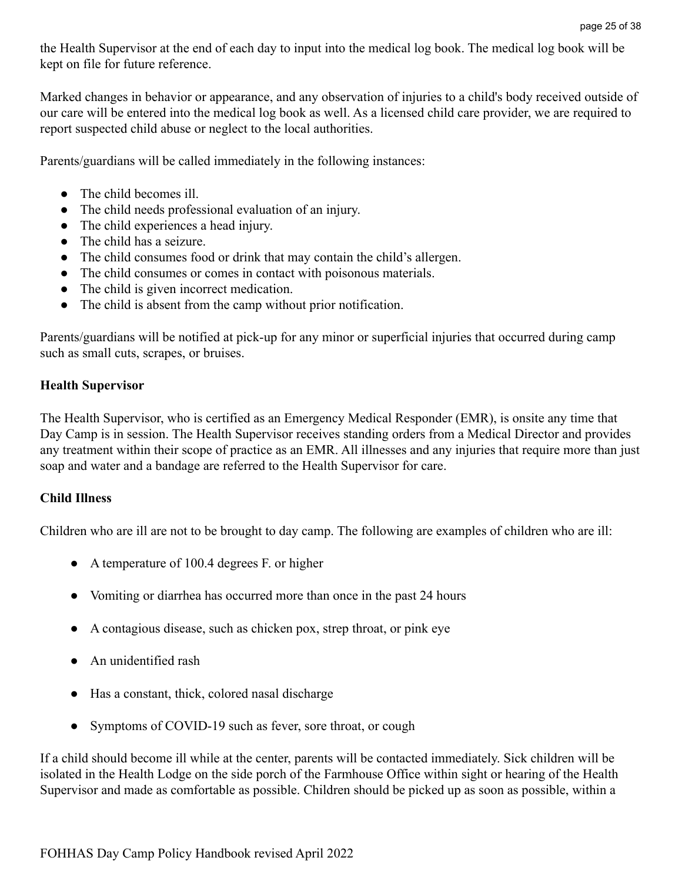the Health Supervisor at the end of each day to input into the medical log book. The medical log book will be kept on file for future reference.

Marked changes in behavior or appearance, and any observation of injuries to a child's body received outside of our care will be entered into the medical log book as well. As a licensed child care provider, we are required to report suspected child abuse or neglect to the local authorities.

Parents/guardians will be called immediately in the following instances:

- The child becomes ill.
- The child needs professional evaluation of an injury.
- The child experiences a head injury.
- The child has a seizure
- The child consumes food or drink that may contain the child's allergen.
- The child consumes or comes in contact with poisonous materials.
- The child is given incorrect medication.
- The child is absent from the camp without prior notification.

Parents/guardians will be notified at pick-up for any minor or superficial injuries that occurred during camp such as small cuts, scrapes, or bruises.

### <span id="page-24-0"></span>**Health Supervisor**

The Health Supervisor, who is certified as an Emergency Medical Responder (EMR), is onsite any time that Day Camp is in session. The Health Supervisor receives standing orders from a Medical Director and provides any treatment within their scope of practice as an EMR. All illnesses and any injuries that require more than just soap and water and a bandage are referred to the Health Supervisor for care.

### <span id="page-24-1"></span>**Child Illness**

Children who are ill are not to be brought to day camp. The following are examples of children who are ill:

- A temperature of 100.4 degrees F, or higher
- Vomiting or diarrhea has occurred more than once in the past 24 hours
- A contagious disease, such as chicken pox, strep throat, or pink eye
- An unidentified rash
- Has a constant, thick, colored nasal discharge
- Symptoms of COVID-19 such as fever, sore throat, or cough

If a child should become ill while at the center, parents will be contacted immediately. Sick children will be isolated in the Health Lodge on the side porch of the Farmhouse Office within sight or hearing of the Health Supervisor and made as comfortable as possible. Children should be picked up as soon as possible, within a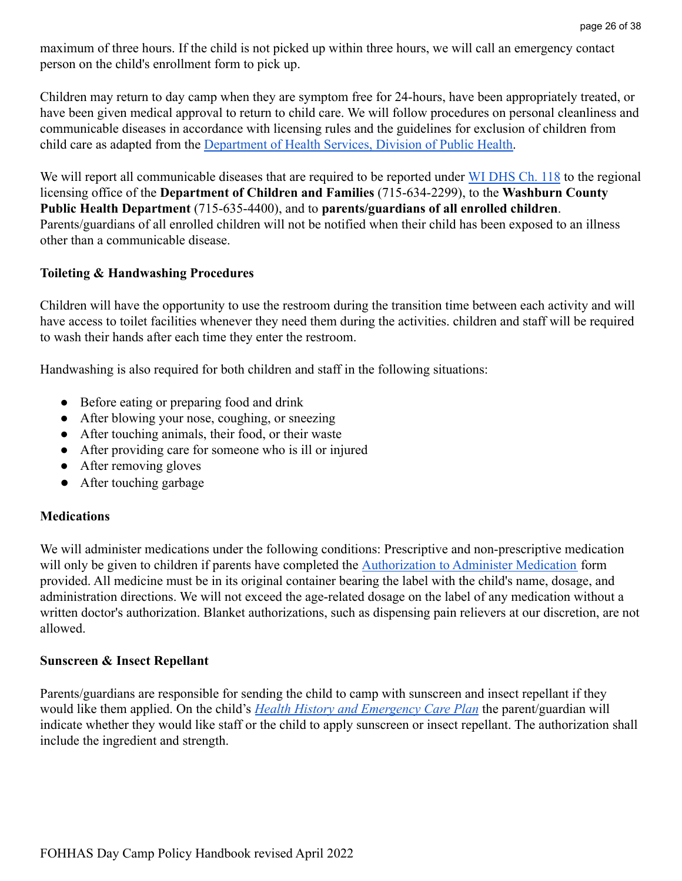maximum of three hours. If the child is not picked up within three hours, we will call an emergency contact person on the child's enrollment form to pick up.

Children may return to day camp when they are symptom free for 24-hours, have been appropriately treated, or have been given medical approval to return to child care. We will follow procedures on personal cleanliness and communicable diseases in accordance with licensing rules and the guidelines for exclusion of children from child care as adapted from the Department of Health [Services, Division of Public Health.](https://drive.google.com/file/d/19S5Dik4tHJ4WHvezi3wYdJHimiZDX1NT/view?usp=sharing)

We will report all communicable diseases that are required to be reported under [WI DHS Ch. 118](https://drive.google.com/file/d/1OFXGUB5KifPR-b2fP2lkhnsHar6A4RQH/view?usp=sharing) to the regional licensing office of the **Department of Children and Families** (715-634-2299), to the **Washburn County Public Health Department** (715-635-4400), and to **parents/guardians of all enrolled children**. Parents/guardians of all enrolled children will not be notified when their child has been exposed to an illness other than a communicable disease.

### <span id="page-25-0"></span>**Toileting & Handwashing Procedures**

Children will have the opportunity to use the restroom during the transition time between each activity and will have access to toilet facilities whenever they need them during the activities. children and staff will be required to wash their hands after each time they enter the restroom.

Handwashing is also required for both children and staff in the following situations:

- Before eating or preparing food and drink
- After blowing your nose, coughing, or sneezing
- After touching animals, their food, or their waste
- After providing care for someone who is ill or injured
- After removing gloves
- After touching garbage

### <span id="page-25-1"></span>**Medications**

We will administer medications under the following conditions: Prescriptive and non-prescriptive medication will only be given to children if parents have completed the [Authorization to Administer Medication](https://drive.google.com/file/d/1Efs7RyStKrWyUtbhh4qGqbkBsgkWZCMR/view?usp=sharing) form provided. All medicine must be in its original container bearing the label with the child's name, dosage, and administration directions. We will not exceed the age-related dosage on the label of any medication without a written doctor's authorization. Blanket authorizations, such as dispensing pain relievers at our discretion, are not allowed.

### <span id="page-25-2"></span>**Sunscreen & Insect Repellant**

Parents/guardians are responsible for sending the child to camp with sunscreen and insect repellant if they would like them applied. On the child's *Health History [and Emergency Care Plan](https://drive.google.com/file/d/12a1ZmpZ4Ag3ZVe0nzKHe5NyAfJaKLbKU/view?usp=sharing)* the parent/guardian will indicate whether they would like staff or the child to apply sunscreen or insect repellant. The authorization shall include the ingredient and strength.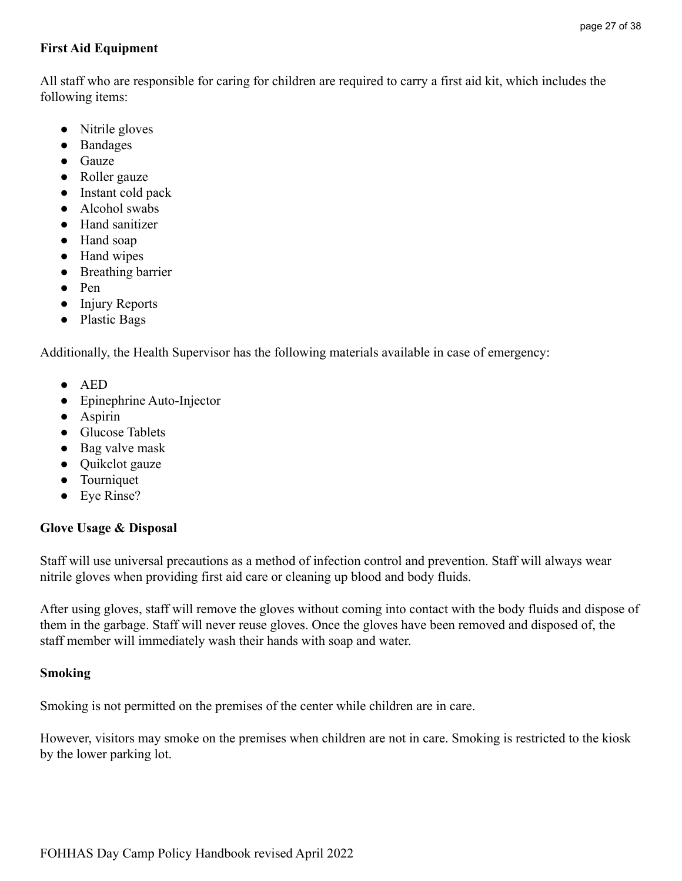## <span id="page-26-0"></span>**First Aid Equipment**

All staff who are responsible for caring for children are required to carry a first aid kit, which includes the following items:

- Nitrile gloves
- Bandages
- Gauze
- Roller gauze
- Instant cold pack
- Alcohol swabs
- Hand sanitizer
- Hand soap
- Hand wipes
- Breathing barrier
- Pen
- Injury Reports
- Plastic Bags

Additionally, the Health Supervisor has the following materials available in case of emergency:

- AED
- Epinephrine Auto-Injector
- Aspirin
- Glucose Tablets
- Bag valve mask
- Ouikclot gauze
- Tourniquet
- Eye Rinse?

## <span id="page-26-1"></span>**Glove Usage & Disposal**

Staff will use universal precautions as a method of infection control and prevention. Staff will always wear nitrile gloves when providing first aid care or cleaning up blood and body fluids.

After using gloves, staff will remove the gloves without coming into contact with the body fluids and dispose of them in the garbage. Staff will never reuse gloves. Once the gloves have been removed and disposed of, the staff member will immediately wash their hands with soap and water.

### <span id="page-26-2"></span>**Smoking**

Smoking is not permitted on the premises of the center while children are in care.

However, visitors may smoke on the premises when children are not in care. Smoking is restricted to the kiosk by the lower parking lot.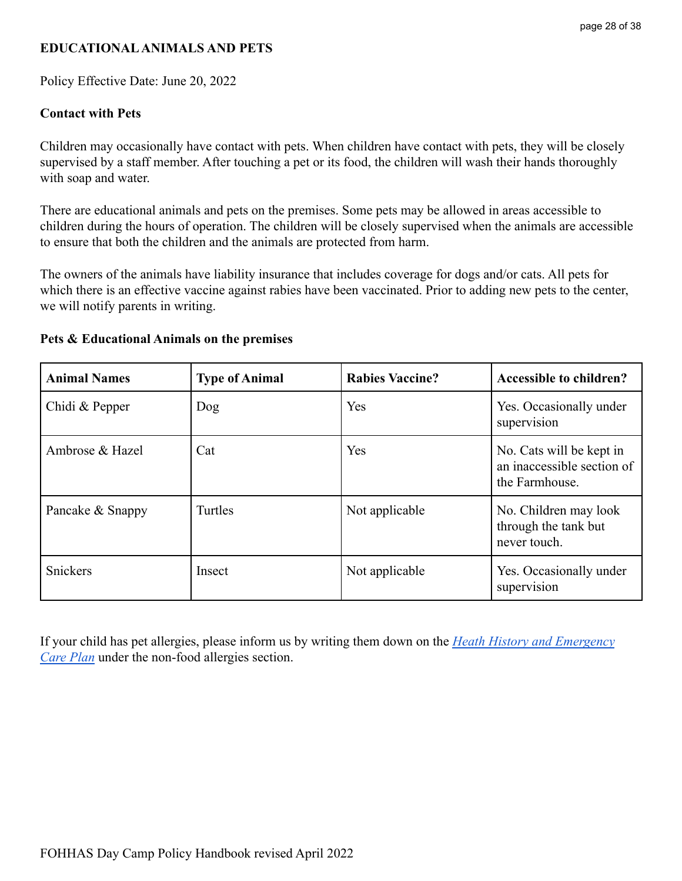### <span id="page-27-0"></span>**EDUCATIONALANIMALS AND PETS**

Policy Effective Date: June 20, 2022

#### <span id="page-27-1"></span>**Contact with Pets**

Children may occasionally have contact with pets. When children have contact with pets, they will be closely supervised by a staff member. After touching a pet or its food, the children will wash their hands thoroughly with soap and water.

There are educational animals and pets on the premises. Some pets may be allowed in areas accessible to children during the hours of operation. The children will be closely supervised when the animals are accessible to ensure that both the children and the animals are protected from harm.

The owners of the animals have liability insurance that includes coverage for dogs and/or cats. All pets for which there is an effective vaccine against rabies have been vaccinated. Prior to adding new pets to the center, we will notify parents in writing.

| <b>Animal Names</b> | <b>Type of Animal</b> | <b>Rabies Vaccine?</b> | <b>Accessible to children?</b>                                           |
|---------------------|-----------------------|------------------------|--------------------------------------------------------------------------|
| Chidi & Pepper      | Dog                   | Yes                    | Yes. Occasionally under<br>supervision                                   |
| Ambrose & Hazel     | Cat                   | Yes                    | No. Cats will be kept in<br>an inaccessible section of<br>the Farmhouse. |
| Pancake & Snappy    | Turtles               | Not applicable         | No. Children may look<br>through the tank but<br>never touch.            |
| Snickers            | Insect                | Not applicable         | Yes. Occasionally under<br>supervision                                   |

#### <span id="page-27-2"></span>**Pets & Educational Animals on the premises**

If your child has pet allergies, please inform us by writing them down on the *[Heath History and Emergency](https://drive.google.com/file/d/12a1ZmpZ4Ag3ZVe0nzKHe5NyAfJaKLbKU/view?usp=sharing) [Care Plan](https://drive.google.com/file/d/12a1ZmpZ4Ag3ZVe0nzKHe5NyAfJaKLbKU/view?usp=sharing)* under the non-food allergies section.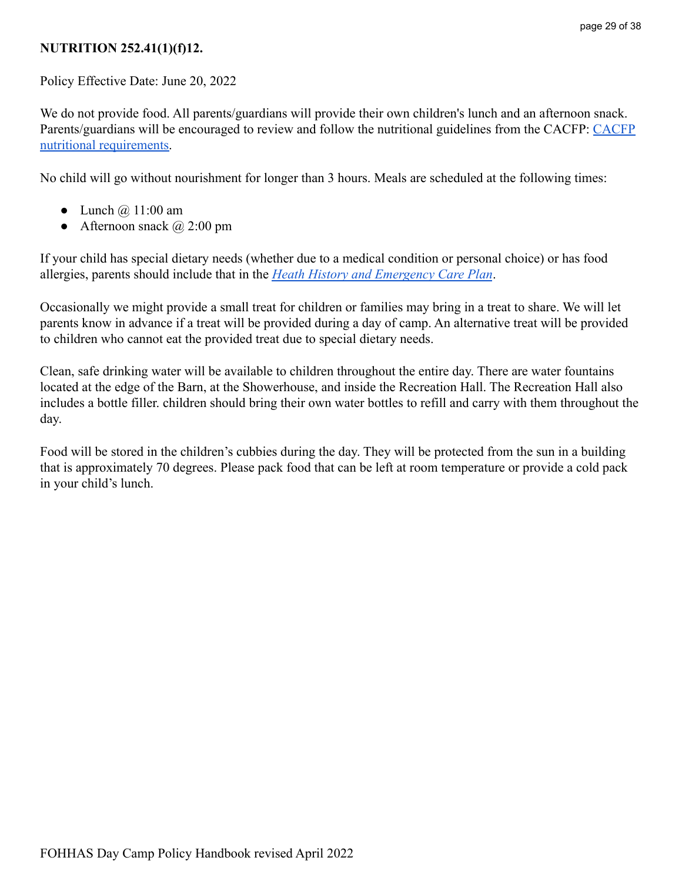### <span id="page-28-0"></span>**NUTRITION 252.41(1)(f)12.**

Policy Effective Date: June 20, 2022

We do not provide food. All parents/guardians will provide their own children's lunch and an afternoon snack. Parents/guardians will be encouraged to review and follow the nutritional guidelines from the CACFP: [CACFP](https://www.fns.usda.gov/cacfp/meals-and-snacks) [nutritional requirements.](https://www.fns.usda.gov/cacfp/meals-and-snacks)

No child will go without nourishment for longer than 3 hours. Meals are scheduled at the following times:

- Lunch  $\omega$  11:00 am
- Afternoon snack  $\omega$  2:00 pm

If your child has special dietary needs (whether due to a medical condition or personal choice) or has food allergies, parents should include that in the *Heath [History and Emergency Care Plan](https://drive.google.com/file/d/12a1ZmpZ4Ag3ZVe0nzKHe5NyAfJaKLbKU/view?usp=sharing)*.

Occasionally we might provide a small treat for children or families may bring in a treat to share. We will let parents know in advance if a treat will be provided during a day of camp. An alternative treat will be provided to children who cannot eat the provided treat due to special dietary needs.

Clean, safe drinking water will be available to children throughout the entire day. There are water fountains located at the edge of the Barn, at the Showerhouse, and inside the Recreation Hall. The Recreation Hall also includes a bottle filler. children should bring their own water bottles to refill and carry with them throughout the day.

Food will be stored in the children's cubbies during the day. They will be protected from the sun in a building that is approximately 70 degrees. Please pack food that can be left at room temperature or provide a cold pack in your child's lunch.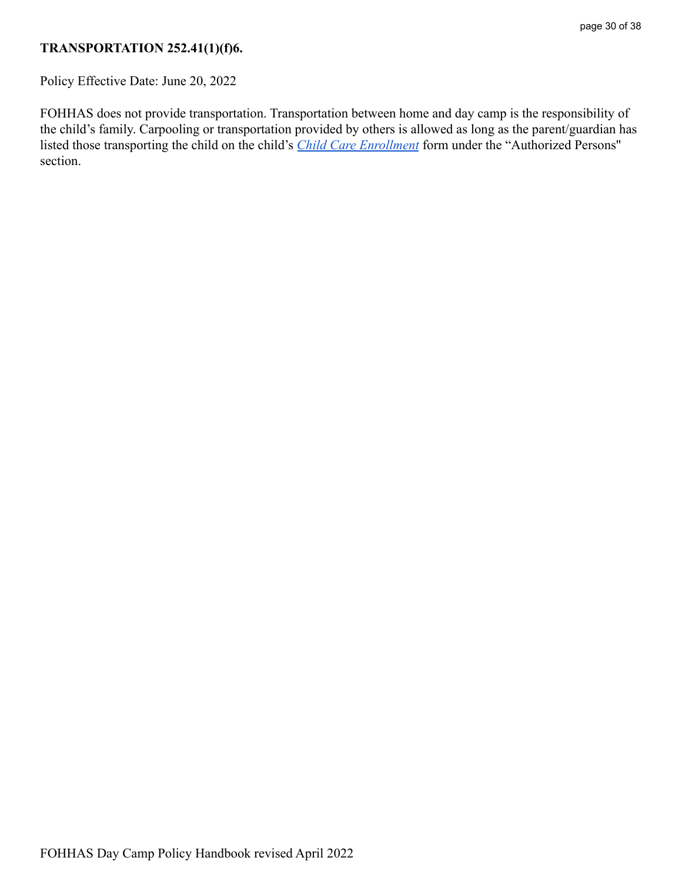## <span id="page-29-0"></span>**TRANSPORTATION 252.41(1)(f)6.**

Policy Effective Date: June 20, 2022

FOHHAS does not provide transportation. Transportation between home and day camp is the responsibility of the child's family. Carpooling or transportation provided by others is allowed as long as the parent/guardian has listed those transporting the child on the child's *[Child Care Enrollment](https://drive.google.com/file/d/14mTLZP024ARqLLSKqTtuxQ7fM54DVuWz/view?usp=sharing)* form under the "Authorized Persons'' section.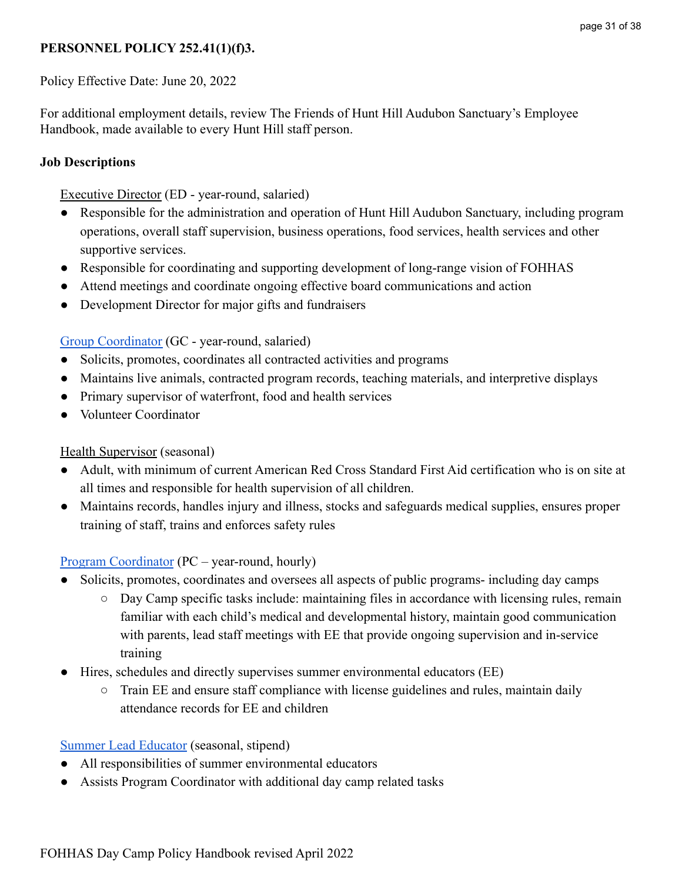# <span id="page-30-0"></span>**PERSONNEL POLICY 252.41(1)(f)3.**

Policy Effective Date: June 20, 2022

For additional employment details, review The Friends of Hunt Hill Audubon Sanctuary's Employee Handbook, made available to every Hunt Hill staff person.

## <span id="page-30-1"></span>**Job Descriptions**

### Executive Director (ED - year-round, salaried)

- Responsible for the administration and operation of Hunt Hill Audubon Sanctuary, including program operations, overall staff supervision, business operations, food services, health services and other supportive services.
- Responsible for coordinating and supporting development of long-range vision of FOHHAS
- Attend meetings and coordinate ongoing effective board communications and action
- Development Director for major gifts and fundraisers

## [Group Coordinator](https://docs.google.com/document/d/1RLLzFuP6ON6LHk9uMhS-u0L98wgMYro_/edit?usp=sharing&ouid=118152999031550316567&rtpof=true&sd=true) (GC - year-round, salaried)

- Solicits, promotes, coordinates all contracted activities and programs
- Maintains live animals, contracted program records, teaching materials, and interpretive displays
- Primary supervisor of waterfront, food and health services
- Volunteer Coordinator

## Health Supervisor (seasonal)

- Adult, with minimum of current American Red Cross Standard First Aid certification who is on site at all times and responsible for health supervision of all children.
- Maintains records, handles injury and illness, stocks and safeguards medical supplies, ensures proper training of staff, trains and enforces safety rules

## [Program Coordinator](https://docs.google.com/document/d/1djiY3AR_iqG08T3Q1_dPFrH1yLjxG8Ko/edit?usp=sharing&ouid=118152999031550316567&rtpof=true&sd=true) (PC – year-round, hourly)

- Solicits, promotes, coordinates and oversees all aspects of public programs- including day camps
	- Day Camp specific tasks include: maintaining files in accordance with licensing rules, remain familiar with each child's medical and developmental history, maintain good communication with parents, lead staff meetings with EE that provide ongoing supervision and in-service training
- Hires, schedules and directly supervises summer environmental educators (EE)
	- $\circ$  Train EE and ensure staff compliance with license guidelines and rules, maintain daily attendance records for EE and children

## [Summer Lead Educator](https://docs.google.com/document/d/16bQVehHkv00p6CSdRekgrug2TPO3bIbm/edit?usp=sharing&ouid=118152999031550316567&rtpof=true&sd=true) (seasonal, stipend)

- All responsibilities of summer environmental educators
- Assists Program Coordinator with additional day camp related tasks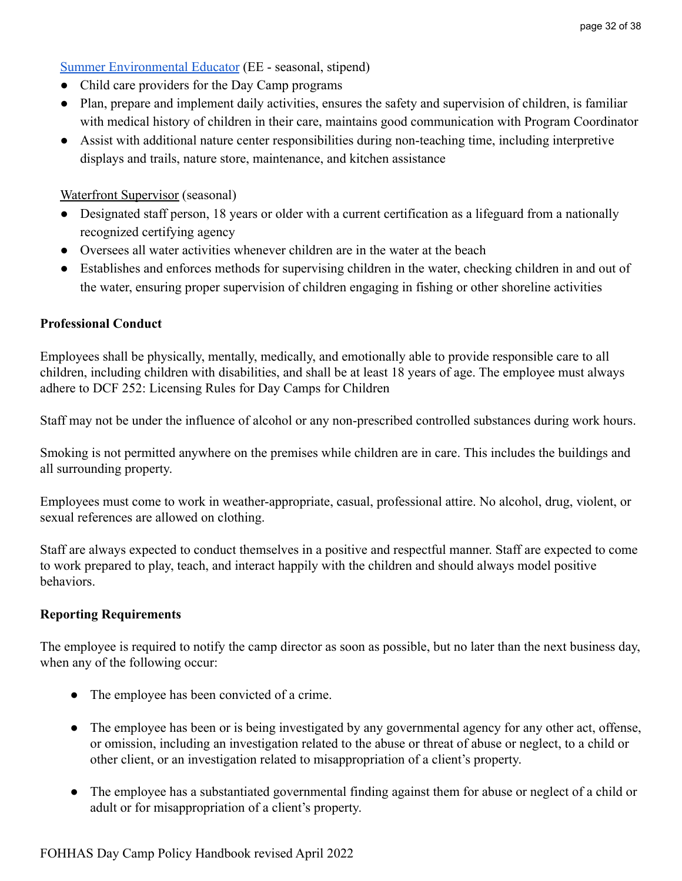### [Summer Environmental Educator](https://docs.google.com/document/d/10x6GpuvK0H8OMpzw7jr6zIupNbvYwy52/edit?usp=sharing&ouid=118152999031550316567&rtpof=true&sd=true) (EE - seasonal, stipend)

- Child care providers for the Day Camp programs
- Plan, prepare and implement daily activities, ensures the safety and supervision of children, is familiar with medical history of children in their care, maintains good communication with Program Coordinator
- Assist with additional nature center responsibilities during non-teaching time, including interpretive displays and trails, nature store, maintenance, and kitchen assistance

Waterfront Supervisor (seasonal)

- Designated staff person, 18 years or older with a current certification as a lifeguard from a nationally recognized certifying agency
- Oversees all water activities whenever children are in the water at the beach
- Establishes and enforces methods for supervising children in the water, checking children in and out of the water, ensuring proper supervision of children engaging in fishing or other shoreline activities

#### <span id="page-31-0"></span>**Professional Conduct**

Employees shall be physically, mentally, medically, and emotionally able to provide responsible care to all children, including children with disabilities, and shall be at least 18 years of age. The employee must always adhere to DCF 252: Licensing Rules for Day Camps for Children

Staff may not be under the influence of alcohol or any non-prescribed controlled substances during work hours.

Smoking is not permitted anywhere on the premises while children are in care. This includes the buildings and all surrounding property.

Employees must come to work in weather-appropriate, casual, professional attire. No alcohol, drug, violent, or sexual references are allowed on clothing.

Staff are always expected to conduct themselves in a positive and respectful manner. Staff are expected to come to work prepared to play, teach, and interact happily with the children and should always model positive behaviors.

#### <span id="page-31-1"></span>**Reporting Requirements**

The employee is required to notify the camp director as soon as possible, but no later than the next business day, when any of the following occur:

- The employee has been convicted of a crime.
- The employee has been or is being investigated by any governmental agency for any other act, offense, or omission, including an investigation related to the abuse or threat of abuse or neglect, to a child or other client, or an investigation related to misappropriation of a client's property.
- The employee has a substantiated governmental finding against them for abuse or neglect of a child or adult or for misappropriation of a client's property.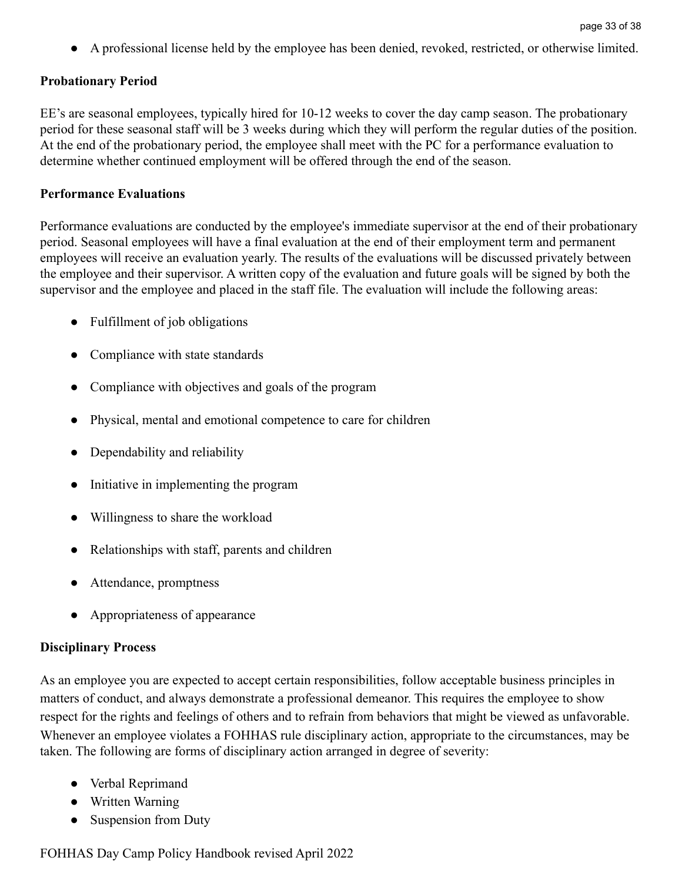● A professional license held by the employee has been denied, revoked, restricted, or otherwise limited.

### <span id="page-32-0"></span>**Probationary Period**

EE's are seasonal employees, typically hired for 10-12 weeks to cover the day camp season. The probationary period for these seasonal staff will be 3 weeks during which they will perform the regular duties of the position. At the end of the probationary period, the employee shall meet with the PC for a performance evaluation to determine whether continued employment will be offered through the end of the season.

#### <span id="page-32-1"></span>**Performance Evaluations**

Performance evaluations are conducted by the employee's immediate supervisor at the end of their probationary period. Seasonal employees will have a final evaluation at the end of their employment term and permanent employees will receive an evaluation yearly. The results of the evaluations will be discussed privately between the employee and their supervisor. A written copy of the evaluation and future goals will be signed by both the supervisor and the employee and placed in the staff file. The evaluation will include the following areas:

- Fulfillment of job obligations
- Compliance with state standards
- Compliance with objectives and goals of the program
- Physical, mental and emotional competence to care for children
- Dependability and reliability
- Initiative in implementing the program
- Willingness to share the workload
- Relationships with staff, parents and children
- Attendance, promptness
- Appropriateness of appearance

### <span id="page-32-2"></span>**Disciplinary Process**

As an employee you are expected to accept certain responsibilities, follow acceptable business principles in matters of conduct, and always demonstrate a professional demeanor. This requires the employee to show respect for the rights and feelings of others and to refrain from behaviors that might be viewed as unfavorable. Whenever an employee violates a FOHHAS rule disciplinary action, appropriate to the circumstances, may be taken. The following are forms of disciplinary action arranged in degree of severity:

- Verbal Reprimand
- Written Warning
- Suspension from Duty

FOHHAS Day Camp Policy Handbook revised April 2022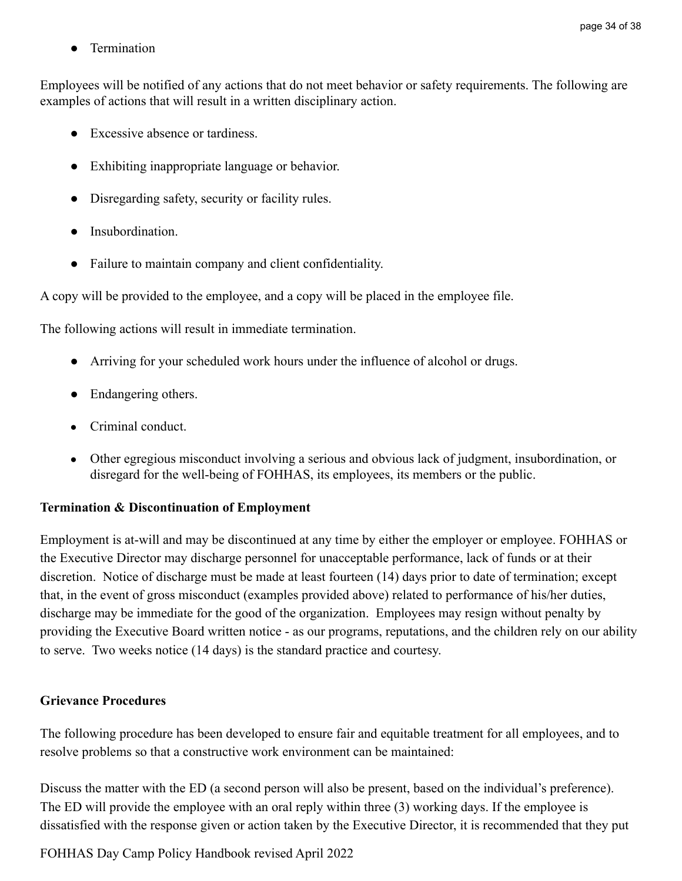● Termination

Employees will be notified of any actions that do not meet behavior or safety requirements. The following are examples of actions that will result in a written disciplinary action.

- Excessive absence or tardiness.
- Exhibiting inappropriate language or behavior.
- Disregarding safety, security or facility rules.
- Insubordination.
- Failure to maintain company and client confidentiality.

A copy will be provided to the employee, and a copy will be placed in the employee file.

The following actions will result in immediate termination.

- Arriving for your scheduled work hours under the influence of alcohol or drugs.
- Endangering others.
- Criminal conduct.
- Other egregious misconduct involving a serious and obvious lack of judgment, insubordination, or disregard for the well-being of FOHHAS, its employees, its members or the public.

#### <span id="page-33-0"></span>**Termination & Discontinuation of Employment**

Employment is at-will and may be discontinued at any time by either the employer or employee. FOHHAS or the Executive Director may discharge personnel for unacceptable performance, lack of funds or at their discretion. Notice of discharge must be made at least fourteen (14) days prior to date of termination; except that, in the event of gross misconduct (examples provided above) related to performance of his/her duties, discharge may be immediate for the good of the organization. Employees may resign without penalty by providing the Executive Board written notice - as our programs, reputations, and the children rely on our ability to serve. Two weeks notice (14 days) is the standard practice and courtesy.

### <span id="page-33-1"></span>**Grievance Procedures**

The following procedure has been developed to ensure fair and equitable treatment for all employees, and to resolve problems so that a constructive work environment can be maintained:

Discuss the matter with the ED (a second person will also be present, based on the individual's preference). The ED will provide the employee with an oral reply within three (3) working days. If the employee is dissatisfied with the response given or action taken by the Executive Director, it is recommended that they put

FOHHAS Day Camp Policy Handbook revised April 2022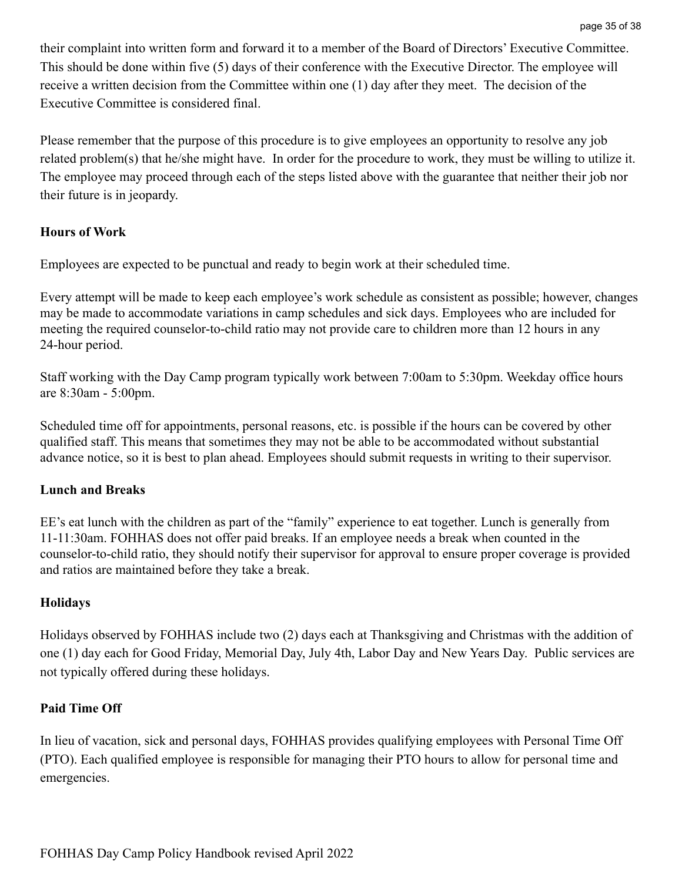their complaint into written form and forward it to a member of the Board of Directors' Executive Committee. This should be done within five (5) days of their conference with the Executive Director. The employee will receive a written decision from the Committee within one (1) day after they meet. The decision of the Executive Committee is considered final.

Please remember that the purpose of this procedure is to give employees an opportunity to resolve any job related problem(s) that he/she might have. In order for the procedure to work, they must be willing to utilize it. The employee may proceed through each of the steps listed above with the guarantee that neither their job nor their future is in jeopardy.

### <span id="page-34-0"></span>**Hours of Work**

Employees are expected to be punctual and ready to begin work at their scheduled time.

Every attempt will be made to keep each employee's work schedule as consistent as possible; however, changes may be made to accommodate variations in camp schedules and sick days. Employees who are included for meeting the required counselor-to-child ratio may not provide care to children more than 12 hours in any 24-hour period.

Staff working with the Day Camp program typically work between 7:00am to 5:30pm. Weekday office hours are 8:30am - 5:00pm.

Scheduled time off for appointments, personal reasons, etc. is possible if the hours can be covered by other qualified staff. This means that sometimes they may not be able to be accommodated without substantial advance notice, so it is best to plan ahead. Employees should submit requests in writing to their supervisor.

## <span id="page-34-1"></span>**Lunch and Breaks**

EE's eat lunch with the children as part of the "family" experience to eat together. Lunch is generally from 11-11:30am. FOHHAS does not offer paid breaks. If an employee needs a break when counted in the counselor-to-child ratio, they should notify their supervisor for approval to ensure proper coverage is provided and ratios are maintained before they take a break.

## <span id="page-34-2"></span>**Holidays**

Holidays observed by FOHHAS include two (2) days each at Thanksgiving and Christmas with the addition of one (1) day each for Good Friday, Memorial Day, July 4th, Labor Day and New Years Day. Public services are not typically offered during these holidays.

### <span id="page-34-3"></span>**Paid Time Off**

In lieu of vacation, sick and personal days, FOHHAS provides qualifying employees with Personal Time Off (PTO). Each qualified employee is responsible for managing their PTO hours to allow for personal time and emergencies.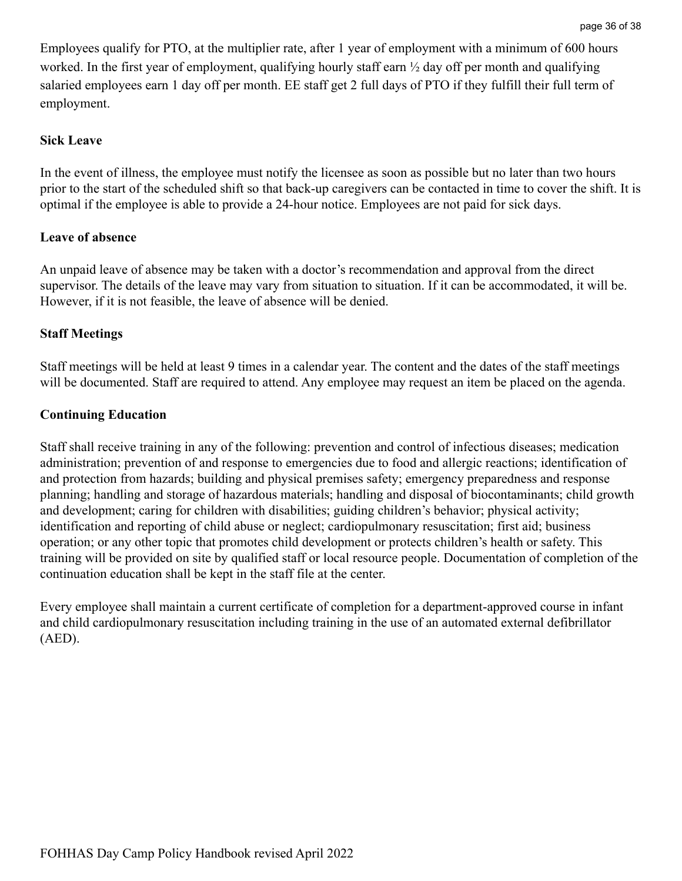Employees qualify for PTO, at the multiplier rate, after 1 year of employment with a minimum of 600 hours worked. In the first year of employment, qualifying hourly staff earn ½ day off per month and qualifying salaried employees earn 1 day off per month. EE staff get 2 full days of PTO if they fulfill their full term of employment.

#### <span id="page-35-0"></span>**Sick Leave**

In the event of illness, the employee must notify the licensee as soon as possible but no later than two hours prior to the start of the scheduled shift so that back-up caregivers can be contacted in time to cover the shift. It is optimal if the employee is able to provide a 24-hour notice. Employees are not paid for sick days.

### <span id="page-35-1"></span>**Leave of absence**

An unpaid leave of absence may be taken with a doctor's recommendation and approval from the direct supervisor. The details of the leave may vary from situation to situation. If it can be accommodated, it will be. However, if it is not feasible, the leave of absence will be denied.

### <span id="page-35-2"></span>**Staff Meetings**

Staff meetings will be held at least 9 times in a calendar year. The content and the dates of the staff meetings will be documented. Staff are required to attend. Any employee may request an item be placed on the agenda.

#### <span id="page-35-3"></span>**Continuing Education**

Staff shall receive training in any of the following: prevention and control of infectious diseases; medication administration; prevention of and response to emergencies due to food and allergic reactions; identification of and protection from hazards; building and physical premises safety; emergency preparedness and response planning; handling and storage of hazardous materials; handling and disposal of biocontaminants; child growth and development; caring for children with disabilities; guiding children's behavior; physical activity; identification and reporting of child abuse or neglect; cardiopulmonary resuscitation; first aid; business operation; or any other topic that promotes child development or protects children's health or safety. This training will be provided on site by qualified staff or local resource people. Documentation of completion of the continuation education shall be kept in the staff file at the center.

Every employee shall maintain a current certificate of completion for a department-approved course in infant and child cardiopulmonary resuscitation including training in the use of an automated external defibrillator (AED).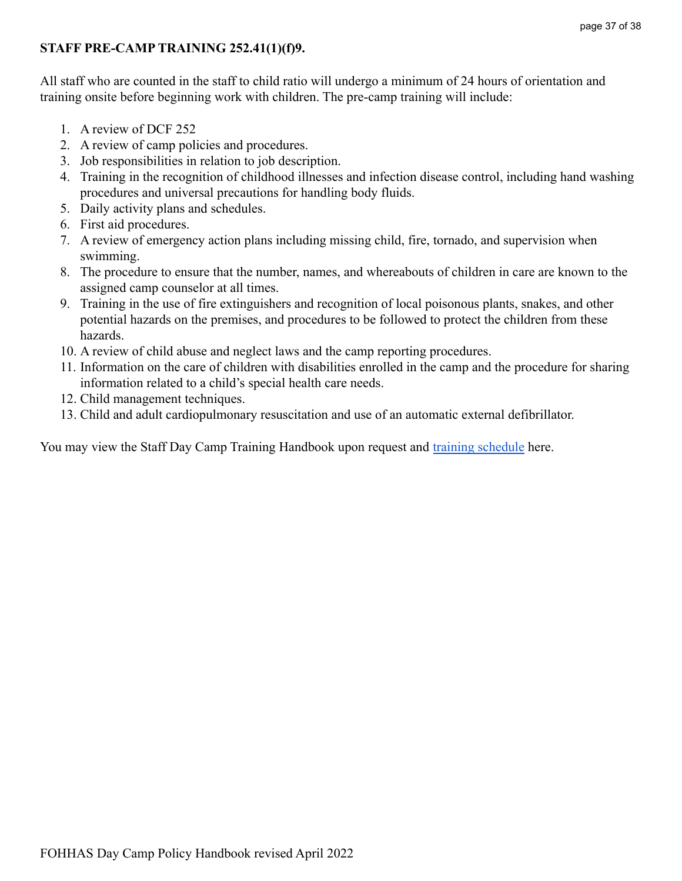### <span id="page-36-0"></span>**STAFF PRE-CAMP TRAINING 252.41(1)(f)9.**

All staff who are counted in the staff to child ratio will undergo a minimum of 24 hours of orientation and training onsite before beginning work with children. The pre-camp training will include:

- 1. A review of DCF 252
- 2. A review of camp policies and procedures.
- 3. Job responsibilities in relation to job description.
- 4. Training in the recognition of childhood illnesses and infection disease control, including hand washing procedures and universal precautions for handling body fluids.
- 5. Daily activity plans and schedules.
- 6. First aid procedures.
- 7. A review of emergency action plans including missing child, fire, tornado, and supervision when swimming.
- 8. The procedure to ensure that the number, names, and whereabouts of children in care are known to the assigned camp counselor at all times.
- 9. Training in the use of fire extinguishers and recognition of local poisonous plants, snakes, and other potential hazards on the premises, and procedures to be followed to protect the children from these hazards.
- 10. A review of child abuse and neglect laws and the camp reporting procedures.
- 11. Information on the care of children with disabilities enrolled in the camp and the procedure for sharing information related to a child's special health care needs.
- 12. Child management techniques.
- 13. Child and adult cardiopulmonary resuscitation and use of an automatic external defibrillator.

You may view the Staff Day Camp Training Handbook upon request and [training schedule](https://docs.google.com/document/u/0/d/1jCAgUqTOcVNgBBLM30dQpyfN2bkQAagUyj80Os61aXk/edit) here.